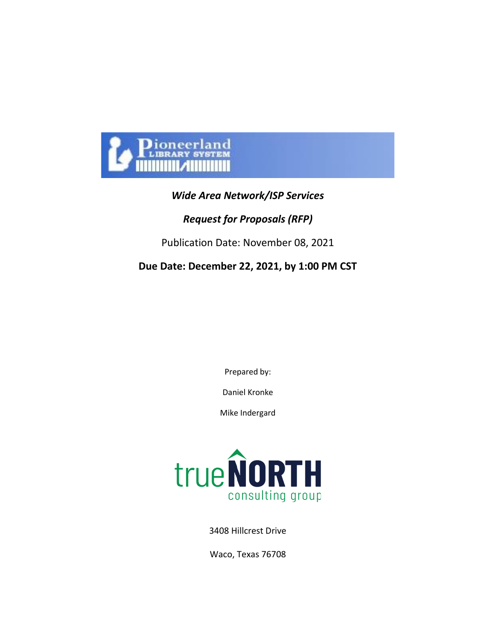

# *Wide Area Network/ISP Services*

# *Request for Proposals (RFP)*

Publication Date: November 08, 2021

# **Due Date: December 22, 2021, by 1:00 PM CST**

Prepared by:

Daniel Kronke

Mike Indergard



3408 Hillcrest Drive

Waco, Texas 76708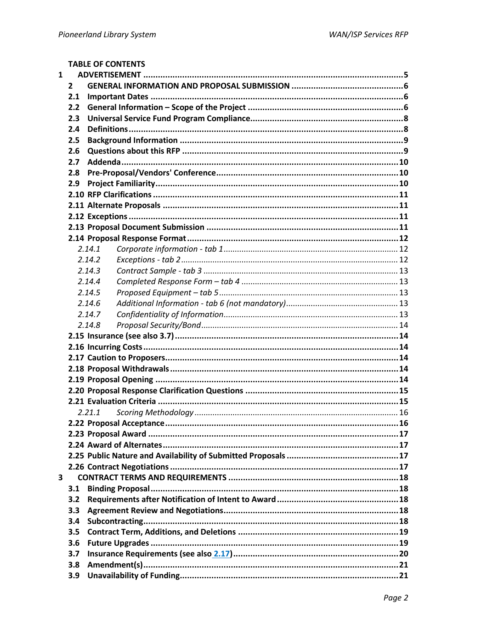**TABLE OF CONTENTS** 

| $\mathbf{1}$            |              |        |  |
|-------------------------|--------------|--------|--|
|                         | $\mathbf{2}$ |        |  |
|                         | 2.1          |        |  |
|                         | 2.2          |        |  |
|                         | 2.3          |        |  |
|                         | 2.4          |        |  |
|                         | 2.5          |        |  |
|                         | 2.6          |        |  |
|                         | 2.7          |        |  |
|                         | 2.8          |        |  |
|                         | 2.9          |        |  |
|                         |              |        |  |
|                         |              |        |  |
|                         |              |        |  |
|                         |              |        |  |
|                         |              |        |  |
|                         |              | 2.14.1 |  |
|                         |              | 2.14.2 |  |
|                         |              | 2.14.3 |  |
|                         |              | 2.14.4 |  |
|                         |              | 2.14.5 |  |
|                         |              | 2.14.6 |  |
|                         |              | 2.14.7 |  |
|                         |              | 2.14.8 |  |
|                         |              |        |  |
|                         |              |        |  |
|                         |              |        |  |
|                         |              |        |  |
|                         |              |        |  |
|                         |              |        |  |
|                         |              |        |  |
|                         |              | 2.21.1 |  |
|                         |              |        |  |
|                         |              |        |  |
|                         |              |        |  |
|                         |              |        |  |
|                         |              |        |  |
| $\overline{\mathbf{3}}$ |              |        |  |
|                         | 3.1          |        |  |
|                         | 3.2          |        |  |
|                         | 3.3          |        |  |
|                         | 3.4          |        |  |
|                         | 3.5          |        |  |
|                         | 3.6          |        |  |
|                         | 3.7          |        |  |
|                         | 3.8          |        |  |
|                         | 3.9          |        |  |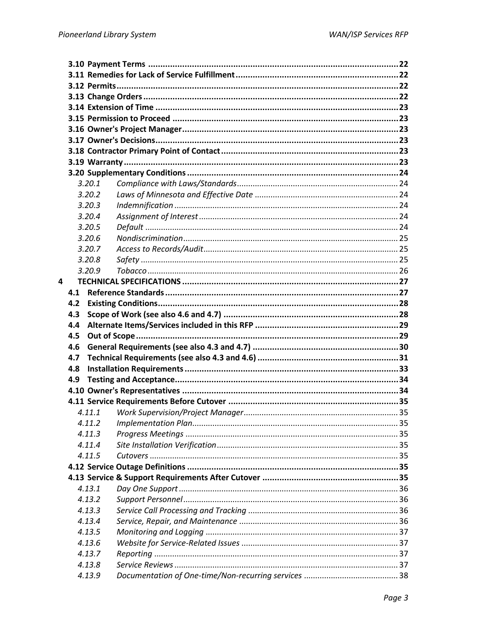|   |     | 3.20.1 |  |
|---|-----|--------|--|
|   |     | 3.20.2 |  |
|   |     | 3.20.3 |  |
|   |     | 3.20.4 |  |
|   |     | 3.20.5 |  |
|   |     | 3.20.6 |  |
|   |     | 3.20.7 |  |
|   |     | 3.20.8 |  |
|   |     | 3.20.9 |  |
| 4 |     |        |  |
|   | 4.1 |        |  |
|   | 4.2 |        |  |
|   | 4.3 |        |  |
|   | 4.4 |        |  |
|   | 4.5 |        |  |
|   | 4.6 |        |  |
|   | 4.7 |        |  |
|   | 4.8 |        |  |
|   | 4.9 |        |  |
|   |     |        |  |
|   |     |        |  |
|   |     | 4.11.1 |  |
|   |     |        |  |
|   |     | 4.11.3 |  |
|   |     | 4.11.4 |  |
|   |     | 4.11.5 |  |
|   |     |        |  |
|   |     |        |  |
|   |     | 4.13.1 |  |
|   |     | 4.13.2 |  |
|   |     | 4.13.3 |  |
|   |     | 4.13.4 |  |
|   |     | 4.13.5 |  |
|   |     | 4.13.6 |  |
|   |     | 4.13.7 |  |
|   |     | 4.13.8 |  |
|   |     | 4.13.9 |  |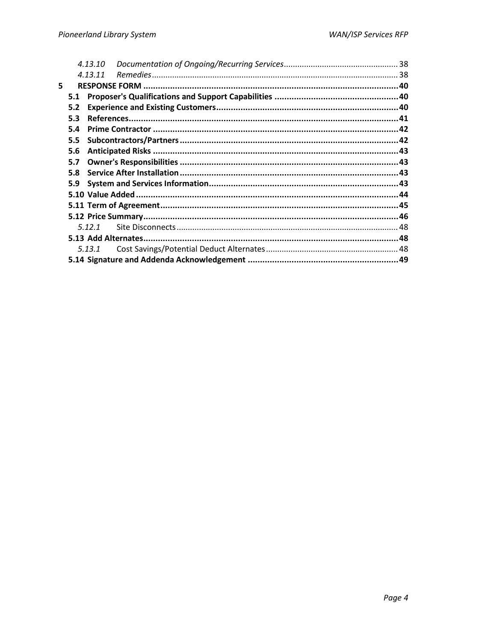|    |     | 4.13.10 |  |
|----|-----|---------|--|
|    |     | 4.13.11 |  |
| 5. |     |         |  |
|    | 5.1 |         |  |
|    | 5.2 |         |  |
|    | 5.3 |         |  |
|    | 5.4 |         |  |
|    | 5.5 |         |  |
|    | 5.6 |         |  |
|    | 5.7 |         |  |
|    | 5.8 |         |  |
|    | 5.9 |         |  |
|    |     |         |  |
|    |     |         |  |
|    |     |         |  |
|    |     | 5.12.1  |  |
|    |     |         |  |
|    |     | 5.13.1  |  |
|    |     |         |  |
|    |     |         |  |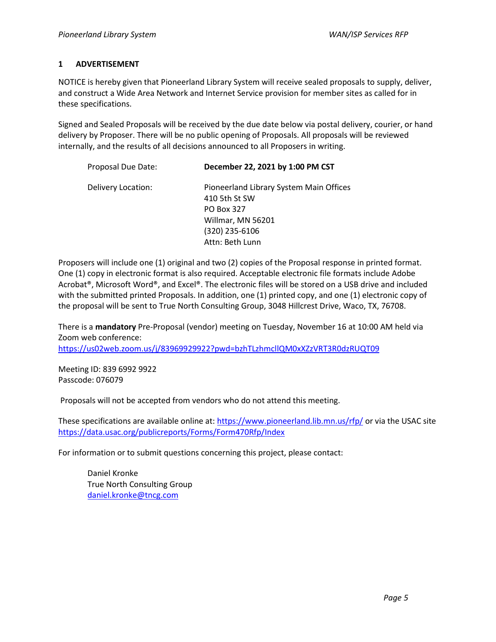## **1 ADVERTISEMENT**

NOTICE is hereby given that Pioneerland Library System will receive sealed proposals to supply, deliver, and construct a Wide Area Network and Internet Service provision for member sites as called for in these specifications.

Signed and Sealed Proposals will be received by the due date below via postal delivery, courier, or hand delivery by Proposer. There will be no public opening of Proposals. All proposals will be reviewed internally, and the results of all decisions announced to all Proposers in writing.

| Proposal Due Date: | December 22, 2021 by 1:00 PM CST        |  |
|--------------------|-----------------------------------------|--|
| Delivery Location: | Pioneerland Library System Main Offices |  |
|                    | 410 5th St SW                           |  |
|                    | PO Box 327                              |  |
|                    | Willmar, MN 56201                       |  |
|                    | (320) 235-6106                          |  |
|                    | Attn: Beth Lunn                         |  |

Proposers will include one (1) original and two (2) copies of the Proposal response in printed format. One (1) copy in electronic format is also required. Acceptable electronic file formats include Adobe Acrobat®, Microsoft Word®, and Excel®. The electronic files will be stored on a USB drive and included with the submitted printed Proposals. In addition, one (1) printed copy, and one (1) electronic copy of the proposal will be sent to True North Consulting Group, 3048 Hillcrest Drive, Waco, TX, 76708.

There is a **mandatory** Pre-Proposal (vendor) meeting on Tuesday, November 16 at 10:00 AM held via Zoom web conference:

[https://us02web.zoom.us/j/83969929922?pwd=bzhTLzhmcllQM0xXZzVRT3R0dzRUQT09](https://nam11.safelinks.protection.outlook.com/?url=https%3A%2F%2Fus02web.zoom.us%2Fj%2F83969929922%3Fpwd%3DbzhTLzhmcllQM0xXZzVRT3R0dzRUQT09&data=04%7C01%7CDaniel.Kronke%40tncg.com%7Caa12e0896c1f4951545108d99ee3359a%7Cae7e91d1cd784cbf851b114b9e6c3b21%7C1%7C0%7C637715521034232135%7CUnknown%7CTWFpbGZsb3d8eyJWIjoiMC4wLjAwMDAiLCJQIjoiV2luMzIiLCJBTiI6Ik1haWwiLCJXVCI6Mn0%3D%7C1000&sdata=StoxGK9foIA3aWvf55HDo%2B7iHgaWdr6u6qJzHWfwt%2BQ%3D&reserved=0)

Meeting ID: 839 6992 9922 Passcode: 076079

Proposals will not be accepted from vendors who do not attend this meeting.

These specifications are available online at:<https://www.pioneerland.lib.mn.us/rfp/> or via the USAC site <https://data.usac.org/publicreports/Forms/Form470Rfp/Index>

For information or to submit questions concerning this project, please contact:

Daniel Kronke True North Consulting Group [daniel.kronke@tncg.com](mailto:daniel.kronke@tncg.com)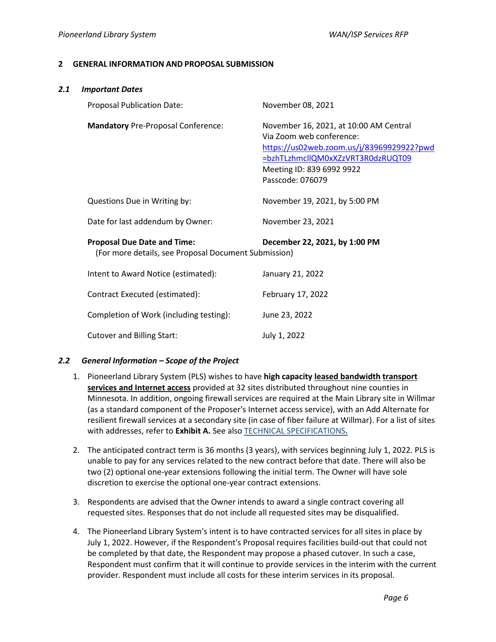#### **2 GENERAL INFORMATION AND PROPOSAL SUBMISSION**

<span id="page-5-0"></span>

| 2.1 | <b>Important Dates</b>                                                                     |                                                                                                                                                                                                       |
|-----|--------------------------------------------------------------------------------------------|-------------------------------------------------------------------------------------------------------------------------------------------------------------------------------------------------------|
|     | Proposal Publication Date:                                                                 | November 08, 2021                                                                                                                                                                                     |
|     | <b>Mandatory Pre-Proposal Conference:</b>                                                  | November 16, 2021, at 10:00 AM Central<br>Via Zoom web conference:<br>https://us02web.zoom.us/j/83969929922?pwd<br>=bzhTLzhmcllQM0xXZzVRT3R0dzRUQT09<br>Meeting ID: 839 6992 9922<br>Passcode: 076079 |
|     | Questions Due in Writing by:                                                               | November 19, 2021, by 5:00 PM                                                                                                                                                                         |
|     | Date for last addendum by Owner:                                                           | November 23, 2021                                                                                                                                                                                     |
|     | <b>Proposal Due Date and Time:</b><br>(For more details, see Proposal Document Submission) | December 22, 2021, by 1:00 PM                                                                                                                                                                         |
|     | Intent to Award Notice (estimated):                                                        | January 21, 2022                                                                                                                                                                                      |
|     | Contract Executed (estimated):                                                             | February 17, 2022                                                                                                                                                                                     |
|     | Completion of Work (including testing):                                                    | June 23, 2022                                                                                                                                                                                         |
|     | <b>Cutover and Billing Start:</b>                                                          | July 1, 2022                                                                                                                                                                                          |

#### *2.2 General Information – Scope of the Project*

- 1. Pioneerland Library System (PLS) wishes to have **high capacity leased bandwidth transport services and Internet access** provided at 32 sites distributed throughout nine counties in Minnesota. In addition, ongoing firewall services are required at the Main Library site in Willmar (as a standard component of the Proposer's Internet access service), with an Add Alternate for resilient firewall services at a secondary site (in case of fiber failure at Willmar). For a list of sites with addresses, refer to **Exhibit A.** See also [TECHNICAL SPECIFICATIONS](#page-26-0)**.**
- 2. The anticipated contract term is 36 months (3 years), with services beginning July 1, 2022. PLS is unable to pay for any services related to the new contract before that date. There will also be two (2) optional one-year extensions following the initial term. The Owner will have sole discretion to exercise the optional one-year contract extensions.
- 3. Respondents are advised that the Owner intends to award a single contract covering all requested sites. Responses that do not include all requested sites may be disqualified.
- 4. The Pioneerland Library System's intent is to have contracted services for all sites in place by July 1, 2022. However, if the Respondent's Proposal requires facilities build-out that could not be completed by that date, the Respondent may propose a phased cutover. In such a case, Respondent must confirm that it will continue to provide services in the interim with the current provider. Respondent must include all costs for these interim services in its proposal.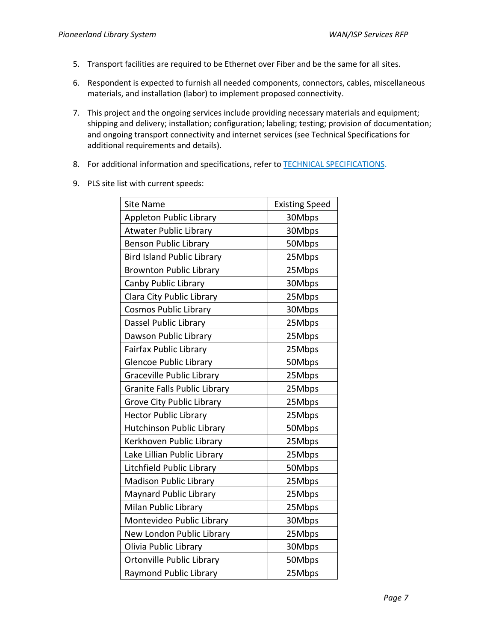- 5. Transport facilities are required to be Ethernet over Fiber and be the same for all sites.
- 6. Respondent is expected to furnish all needed components, connectors, cables, miscellaneous materials, and installation (labor) to implement proposed connectivity.
- 7. This project and the ongoing services include providing necessary materials and equipment; shipping and delivery; installation; configuration; labeling; testing; provision of documentation; and ongoing transport connectivity and internet services (see Technical Specifications for additional requirements and details).
- 8. For additional information and specifications, refer to **TECHNICAL SPECIFICATIONS**.
- 9. PLS site list with current speeds:

| <b>Site Name</b>                    | <b>Existing Speed</b> |
|-------------------------------------|-----------------------|
| Appleton Public Library             | 30Mbps                |
| <b>Atwater Public Library</b>       | 30Mbps                |
| <b>Benson Public Library</b>        | 50Mbps                |
| <b>Bird Island Public Library</b>   | 25Mbps                |
| <b>Brownton Public Library</b>      | 25Mbps                |
| Canby Public Library                | 30Mbps                |
| Clara City Public Library           | 25Mbps                |
| <b>Cosmos Public Library</b>        | 30Mbps                |
| Dassel Public Library               | 25Mbps                |
| Dawson Public Library               | 25Mbps                |
| <b>Fairfax Public Library</b>       | 25Mbps                |
| <b>Glencoe Public Library</b>       | 50Mbps                |
| <b>Graceville Public Library</b>    | 25Mbps                |
| <b>Granite Falls Public Library</b> | 25Mbps                |
| Grove City Public Library           | 25Mbps                |
| <b>Hector Public Library</b>        | 25Mbps                |
| <b>Hutchinson Public Library</b>    | 50Mbps                |
| Kerkhoven Public Library            | 25Mbps                |
| Lake Lillian Public Library         | 25Mbps                |
| Litchfield Public Library           | 50Mbps                |
| <b>Madison Public Library</b>       | 25Mbps                |
| <b>Maynard Public Library</b>       | 25Mbps                |
| Milan Public Library                | 25Mbps                |
| Montevideo Public Library           | 30Mbps                |
| New London Public Library           | 25Mbps                |
| Olivia Public Library               | 30Mbps                |
| Ortonville Public Library           | 50Mbps                |
| <b>Raymond Public Library</b>       | 25Mbps                |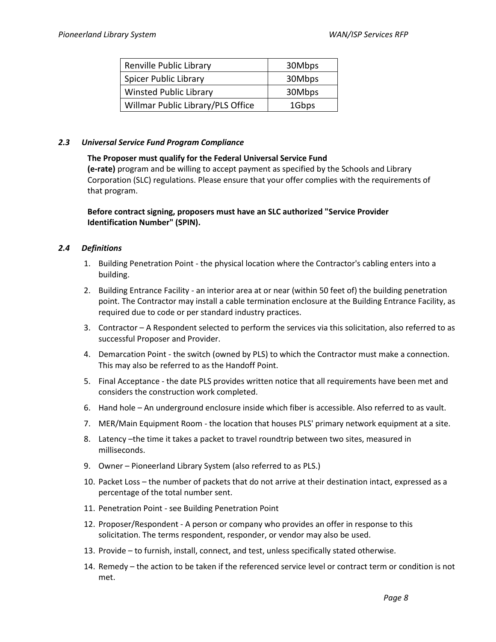| Renville Public Library           | 30Mbps |
|-----------------------------------|--------|
| <b>Spicer Public Library</b>      | 30Mbps |
| <b>Winsted Public Library</b>     | 30Mbps |
| Willmar Public Library/PLS Office | 1Gbps  |

#### *2.3 Universal Service Fund Program Compliance*

#### **The Proposer must qualify for the Federal Universal Service Fund**

**(e-rate)** program and be willing to accept payment as specified by the Schools and Library Corporation (SLC) regulations. Please ensure that your offer complies with the requirements of that program.

## **Before contract signing, proposers must have an SLC authorized "Service Provider Identification Number" (SPIN).**

## *2.4 Definitions*

- 1. Building Penetration Point the physical location where the Contractor's cabling enters into a building.
- 2. Building Entrance Facility an interior area at or near (within 50 feet of) the building penetration point. The Contractor may install a cable termination enclosure at the Building Entrance Facility, as required due to code or per standard industry practices.
- 3. Contractor A Respondent selected to perform the services via this solicitation, also referred to as successful Proposer and Provider.
- 4. Demarcation Point the switch (owned by PLS) to which the Contractor must make a connection. This may also be referred to as the Handoff Point.
- 5. Final Acceptance the date PLS provides written notice that all requirements have been met and considers the construction work completed.
- 6. Hand hole An underground enclosure inside which fiber is accessible. Also referred to as vault.
- 7. MER/Main Equipment Room the location that houses PLS' primary network equipment at a site.
- 8. Latency –the time it takes a packet to travel roundtrip between two sites, measured in milliseconds.
- 9. Owner Pioneerland Library System (also referred to as PLS.)
- 10. Packet Loss the number of packets that do not arrive at their destination intact, expressed as a percentage of the total number sent.
- 11. Penetration Point see Building Penetration Point
- 12. Proposer/Respondent A person or company who provides an offer in response to this solicitation. The terms respondent, responder, or vendor may also be used.
- 13. Provide to furnish, install, connect, and test, unless specifically stated otherwise.
- 14. Remedy the action to be taken if the referenced service level or contract term or condition is not met.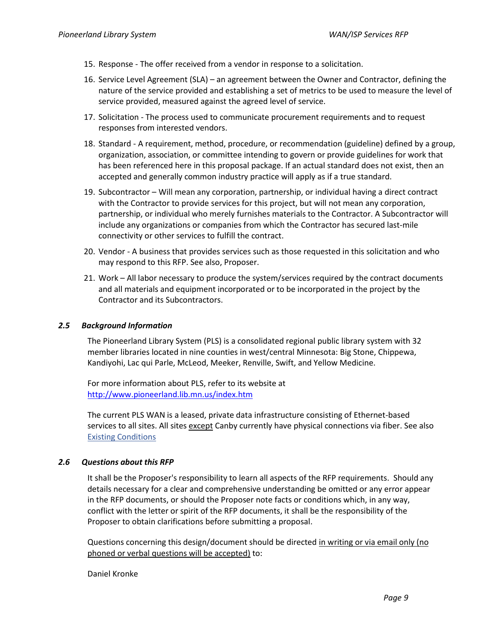- 15. Response The offer received from a vendor in response to a solicitation.
- 16. Service Level Agreement (SLA) an agreement between the Owner and Contractor, defining the nature of the service provided and establishing a set of metrics to be used to measure the level of service provided, measured against the agreed level of service.
- 17. Solicitation The process used to communicate procurement requirements and to request responses from interested vendors.
- 18. Standard A requirement, method, procedure, or recommendation (guideline) defined by a group, organization, association, or committee intending to govern or provide guidelines for work that has been referenced here in this proposal package. If an actual standard does not exist, then an accepted and generally common industry practice will apply as if a true standard.
- 19. Subcontractor Will mean any corporation, partnership, or individual having a direct contract with the Contractor to provide services for this project, but will not mean any corporation, partnership, or individual who merely furnishes materials to the Contractor. A Subcontractor will include any organizations or companies from which the Contractor has secured last-mile connectivity or other services to fulfill the contract.
- 20. Vendor A business that provides services such as those requested in this solicitation and who may respond to this RFP. See also, Proposer.
- 21. Work All labor necessary to produce the system/services required by the contract documents and all materials and equipment incorporated or to be incorporated in the project by the Contractor and its Subcontractors.

## *2.5 Background Information*

The Pioneerland Library System (PLS) is a consolidated regional public library system with 32 member libraries located in nine counties in west/central Minnesota: Big Stone, Chippewa, Kandiyohi, Lac qui Parle, McLeod, Meeker, Renville, Swift, and Yellow Medicine.

For more information about PLS, refer to its website at <http://www.pioneerland.lib.mn.us/index.htm>

The current PLS WAN is a leased, private data infrastructure consisting of Ethernet-based services to all sites. All sites except Canby currently have physical connections via fiber. See also [Existing Conditions](#page-27-0)

## *2.6 Questions about this RFP*

It shall be the Proposer's responsibility to learn all aspects of the RFP requirements. Should any details necessary for a clear and comprehensive understanding be omitted or any error appear in the RFP documents, or should the Proposer note facts or conditions which, in any way, conflict with the letter or spirit of the RFP documents, it shall be the responsibility of the Proposer to obtain clarifications before submitting a proposal.

Questions concerning this design/document should be directed in writing or via email only (no phoned or verbal questions will be accepted) to:

Daniel Kronke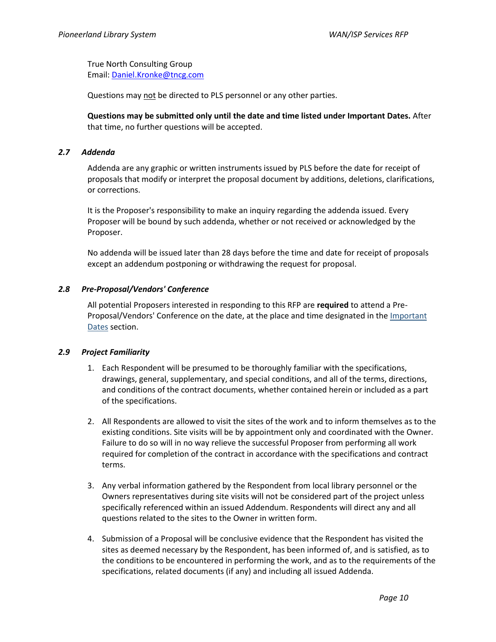True North Consulting Group Email: [Daniel.Kronke@tncg.com](mailto:Daniel.Kronke@tncg.com)

Questions may not be directed to PLS personnel or any other parties.

**Questions may be submitted only until the date and time listed under Important Dates.** After that time, no further questions will be accepted.

#### *2.7 Addenda*

Addenda are any graphic or written instruments issued by PLS before the date for receipt of proposals that modify or interpret the proposal document by additions, deletions, clarifications, or corrections.

It is the Proposer's responsibility to make an inquiry regarding the addenda issued. Every Proposer will be bound by such addenda, whether or not received or acknowledged by the Proposer.

No addenda will be issued later than 28 days before the time and date for receipt of proposals except an addendum postponing or withdrawing the request for proposal.

#### *2.8 Pre-Proposal/Vendors' Conference*

All potential Proposers interested in responding to this RFP are **required** to attend a Pre-Proposal/Vendors' Conference on the date, at the place and time designated in th[e Important](#page-5-0)  [Dates](#page-5-0) section.

#### *2.9 Project Familiarity*

- 1. Each Respondent will be presumed to be thoroughly familiar with the specifications, drawings, general, supplementary, and special conditions, and all of the terms, directions, and conditions of the contract documents, whether contained herein or included as a part of the specifications.
- 2. All Respondents are allowed to visit the sites of the work and to inform themselves as to the existing conditions. Site visits will be by appointment only and coordinated with the Owner. Failure to do so will in no way relieve the successful Proposer from performing all work required for completion of the contract in accordance with the specifications and contract terms.
- 3. Any verbal information gathered by the Respondent from local library personnel or the Owners representatives during site visits will not be considered part of the project unless specifically referenced within an issued Addendum. Respondents will direct any and all questions related to the sites to the Owner in written form.
- 4. Submission of a Proposal will be conclusive evidence that the Respondent has visited the sites as deemed necessary by the Respondent, has been informed of, and is satisfied, as to the conditions to be encountered in performing the work, and as to the requirements of the specifications, related documents (if any) and including all issued Addenda.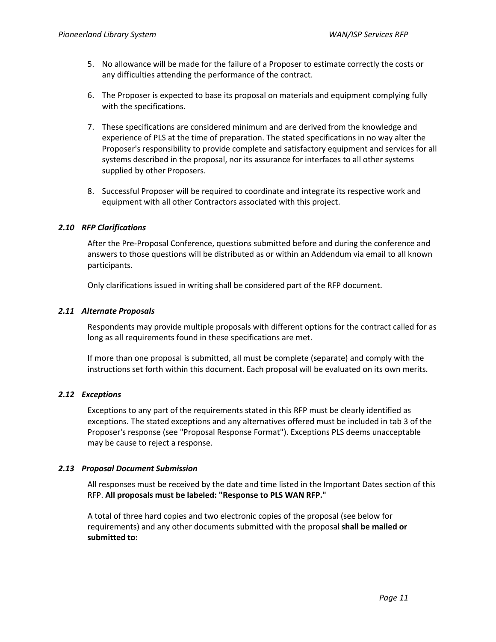- 5. No allowance will be made for the failure of a Proposer to estimate correctly the costs or any difficulties attending the performance of the contract.
- 6. The Proposer is expected to base its proposal on materials and equipment complying fully with the specifications.
- 7. These specifications are considered minimum and are derived from the knowledge and experience of PLS at the time of preparation. The stated specifications in no way alter the Proposer's responsibility to provide complete and satisfactory equipment and services for all systems described in the proposal, nor its assurance for interfaces to all other systems supplied by other Proposers.
- 8. Successful Proposer will be required to coordinate and integrate its respective work and equipment with all other Contractors associated with this project.

## *2.10 RFP Clarifications*

After the Pre-Proposal Conference, questions submitted before and during the conference and answers to those questions will be distributed as or within an Addendum via email to all known participants.

Only clarifications issued in writing shall be considered part of the RFP document.

## *2.11 Alternate Proposals*

Respondents may provide multiple proposals with different options for the contract called for as long as all requirements found in these specifications are met.

If more than one proposal is submitted, all must be complete (separate) and comply with the instructions set forth within this document. Each proposal will be evaluated on its own merits.

## *2.12 Exceptions*

Exceptions to any part of the requirements stated in this RFP must be clearly identified as exceptions. The stated exceptions and any alternatives offered must be included in tab 3 of the Proposer's response (see "Proposal Response Format"). Exceptions PLS deems unacceptable may be cause to reject a response.

## *2.13 Proposal Document Submission*

All responses must be received by the date and time listed in the Important Dates section of this RFP. **All proposals must be labeled: "Response to PLS WAN RFP."**

A total of three hard copies and two electronic copies of the proposal (see below for requirements) and any other documents submitted with the proposal **shall be mailed or submitted to:**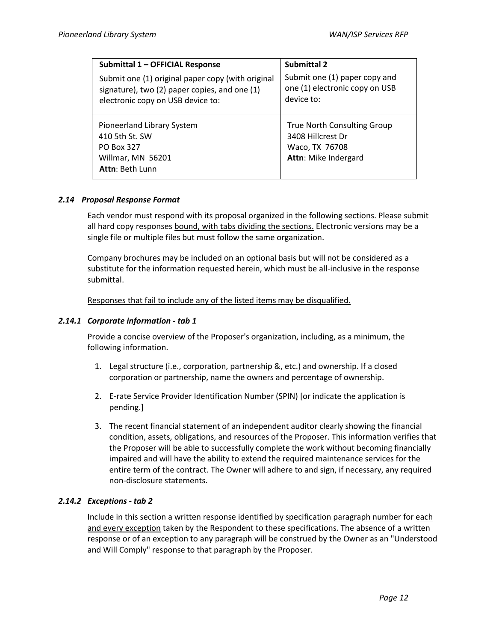| Submittal 1 - OFFICIAL Response                                                                                                         | <b>Submittal 2</b>                                                                         |
|-----------------------------------------------------------------------------------------------------------------------------------------|--------------------------------------------------------------------------------------------|
| Submit one (1) original paper copy (with original<br>signature), two (2) paper copies, and one (1)<br>electronic copy on USB device to: | Submit one (1) paper copy and<br>one (1) electronic copy on USB<br>device to:              |
| Pioneerland Library System<br>410 5th St. SW<br>PO Box 327<br>Willmar, MN 56201<br>Attn: Beth Lunn                                      | True North Consulting Group<br>3408 Hillcrest Dr<br>Waco, TX 76708<br>Attn: Mike Indergard |

## *2.14 Proposal Response Format*

Each vendor must respond with its proposal organized in the following sections. Please submit all hard copy responses bound, with tabs dividing the sections. Electronic versions may be a single file or multiple files but must follow the same organization.

Company brochures may be included on an optional basis but will not be considered as a substitute for the information requested herein, which must be all-inclusive in the response submittal.

Responses that fail to include any of the listed items may be disqualified.

## *2.14.1 Corporate information - tab 1*

Provide a concise overview of the Proposer's organization, including, as a minimum, the following information.

- 1. Legal structure (i.e., corporation, partnership &, etc.) and ownership. If a closed corporation or partnership, name the owners and percentage of ownership.
- 2. E-rate Service Provider Identification Number (SPIN) [or indicate the application is pending.]
- 3. The recent financial statement of an independent auditor clearly showing the financial condition, assets, obligations, and resources of the Proposer. This information verifies that the Proposer will be able to successfully complete the work without becoming financially impaired and will have the ability to extend the required maintenance services for the entire term of the contract. The Owner will adhere to and sign, if necessary, any required non-disclosure statements.

# *2.14.2 Exceptions - tab 2*

Include in this section a written response identified by specification paragraph number for each and every exception taken by the Respondent to these specifications. The absence of a written response or of an exception to any paragraph will be construed by the Owner as an "Understood and Will Comply" response to that paragraph by the Proposer.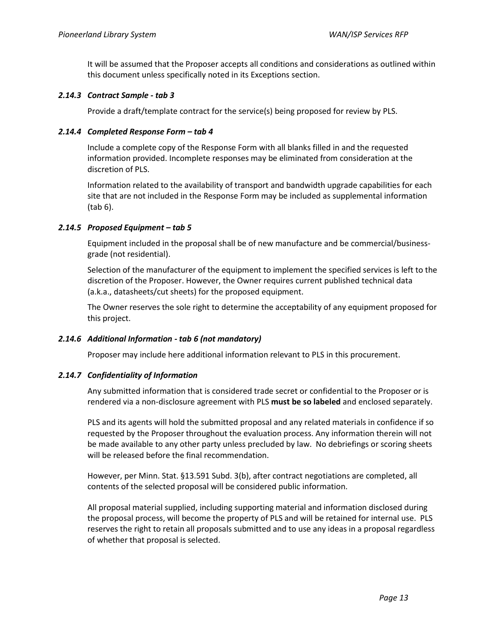It will be assumed that the Proposer accepts all conditions and considerations as outlined within this document unless specifically noted in its Exceptions section.

## *2.14.3 Contract Sample - tab 3*

Provide a draft/template contract for the service(s) being proposed for review by PLS.

## *2.14.4 Completed Response Form – tab 4*

Include a complete copy of the Response Form with all blanks filled in and the requested information provided. Incomplete responses may be eliminated from consideration at the discretion of PLS.

Information related to the availability of transport and bandwidth upgrade capabilities for each site that are not included in the Response Form may be included as supplemental information (tab 6).

## *2.14.5 Proposed Equipment – tab 5*

Equipment included in the proposal shall be of new manufacture and be commercial/businessgrade (not residential).

Selection of the manufacturer of the equipment to implement the specified services is left to the discretion of the Proposer. However, the Owner requires current published technical data (a.k.a., datasheets/cut sheets) for the proposed equipment.

The Owner reserves the sole right to determine the acceptability of any equipment proposed for this project.

# *2.14.6 Additional Information - tab 6 (not mandatory)*

Proposer may include here additional information relevant to PLS in this procurement.

## *2.14.7 Confidentiality of Information*

Any submitted information that is considered trade secret or confidential to the Proposer or is rendered via a non-disclosure agreement with PLS **must be so labeled** and enclosed separately.

PLS and its agents will hold the submitted proposal and any related materials in confidence if so requested by the Proposer throughout the evaluation process. Any information therein will not be made available to any other party unless precluded by law. No debriefings or scoring sheets will be released before the final recommendation.

However, per Minn. Stat. §13.591 Subd. 3(b), after contract negotiations are completed, all contents of the selected proposal will be considered public information.

All proposal material supplied, including supporting material and information disclosed during the proposal process, will become the property of PLS and will be retained for internal use. PLS reserves the right to retain all proposals submitted and to use any ideas in a proposal regardless of whether that proposal is selected.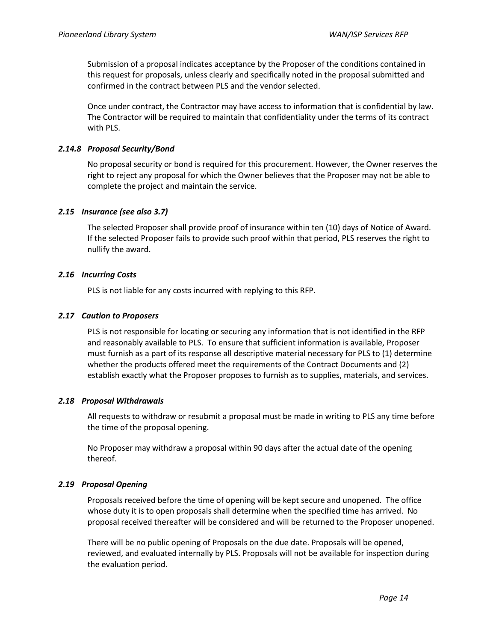Submission of a proposal indicates acceptance by the Proposer of the conditions contained in this request for proposals, unless clearly and specifically noted in the proposal submitted and confirmed in the contract between PLS and the vendor selected.

Once under contract, the Contractor may have access to information that is confidential by law. The Contractor will be required to maintain that confidentiality under the terms of its contract with PLS.

#### *2.14.8 Proposal Security/Bond*

No proposal security or bond is required for this procurement. However, the Owner reserves the right to reject any proposal for which the Owner believes that the Proposer may not be able to complete the project and maintain the service.

## <span id="page-13-0"></span>*2.15 Insurance (see also [3.7\)](#page-19-0)*

The selected Proposer shall provide proof of insurance within ten (10) days of Notice of Award. If the selected Proposer fails to provide such proof within that period, PLS reserves the right to nullify the award.

#### *2.16 Incurring Costs*

PLS is not liable for any costs incurred with replying to this RFP.

#### *2.17 Caution to Proposers*

PLS is not responsible for locating or securing any information that is not identified in the RFP and reasonably available to PLS. To ensure that sufficient information is available, Proposer must furnish as a part of its response all descriptive material necessary for PLS to (1) determine whether the products offered meet the requirements of the Contract Documents and (2) establish exactly what the Proposer proposes to furnish as to supplies, materials, and services.

#### *2.18 Proposal Withdrawals*

All requests to withdraw or resubmit a proposal must be made in writing to PLS any time before the time of the proposal opening.

No Proposer may withdraw a proposal within 90 days after the actual date of the opening thereof.

#### *2.19 Proposal Opening*

Proposals received before the time of opening will be kept secure and unopened. The office whose duty it is to open proposals shall determine when the specified time has arrived. No proposal received thereafter will be considered and will be returned to the Proposer unopened.

There will be no public opening of Proposals on the due date. Proposals will be opened, reviewed, and evaluated internally by PLS. Proposals will not be available for inspection during the evaluation period.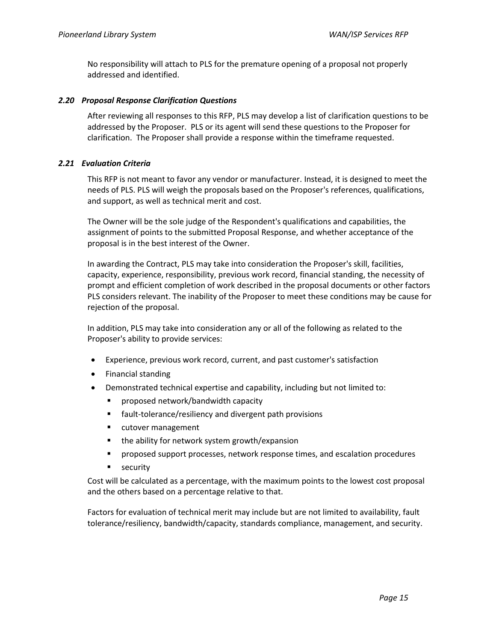No responsibility will attach to PLS for the premature opening of a proposal not properly addressed and identified.

#### *2.20 Proposal Response Clarification Questions*

After reviewing all responses to this RFP, PLS may develop a list of clarification questions to be addressed by the Proposer. PLS or its agent will send these questions to the Proposer for clarification. The Proposer shall provide a response within the timeframe requested.

#### *2.21 Evaluation Criteria*

This RFP is not meant to favor any vendor or manufacturer. Instead, it is designed to meet the needs of PLS. PLS will weigh the proposals based on the Proposer's references, qualifications, and support, as well as technical merit and cost.

The Owner will be the sole judge of the Respondent's qualifications and capabilities, the assignment of points to the submitted Proposal Response, and whether acceptance of the proposal is in the best interest of the Owner.

In awarding the Contract, PLS may take into consideration the Proposer's skill, facilities, capacity, experience, responsibility, previous work record, financial standing, the necessity of prompt and efficient completion of work described in the proposal documents or other factors PLS considers relevant. The inability of the Proposer to meet these conditions may be cause for rejection of the proposal.

In addition, PLS may take into consideration any or all of the following as related to the Proposer's ability to provide services:

- Experience, previous work record, current, and past customer's satisfaction
- Financial standing
- Demonstrated technical expertise and capability, including but not limited to:
	- proposed network/bandwidth capacity
	- fault-tolerance/resiliency and divergent path provisions
	- cutover management
	- the ability for network system growth/expansion
	- proposed support processes, network response times, and escalation procedures
	- security

Cost will be calculated as a percentage, with the maximum points to the lowest cost proposal and the others based on a percentage relative to that.

Factors for evaluation of technical merit may include but are not limited to availability, fault tolerance/resiliency, bandwidth/capacity, standards compliance, management, and security.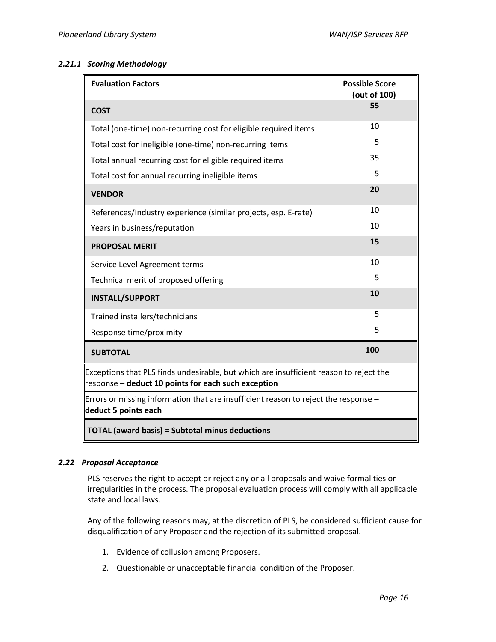#### *2.21.1 Scoring Methodology*

| <b>Evaluation Factors</b>                                                                                                                     | <b>Possible Score</b><br>(out of 100) |
|-----------------------------------------------------------------------------------------------------------------------------------------------|---------------------------------------|
| <b>COST</b>                                                                                                                                   | 55                                    |
| Total (one-time) non-recurring cost for eligible required items                                                                               | 10                                    |
| Total cost for ineligible (one-time) non-recurring items                                                                                      | 5                                     |
| Total annual recurring cost for eligible required items                                                                                       | 35                                    |
| Total cost for annual recurring ineligible items                                                                                              | 5                                     |
| <b>VENDOR</b>                                                                                                                                 | 20                                    |
| References/Industry experience (similar projects, esp. E-rate)                                                                                | 10                                    |
| Years in business/reputation                                                                                                                  | 10                                    |
| <b>PROPOSAL MERIT</b>                                                                                                                         | 15                                    |
| Service Level Agreement terms                                                                                                                 | 10                                    |
| Technical merit of proposed offering                                                                                                          | 5                                     |
| <b>INSTALL/SUPPORT</b>                                                                                                                        | 10                                    |
| Trained installers/technicians                                                                                                                | 5                                     |
| Response time/proximity                                                                                                                       | 5                                     |
| <b>SUBTOTAL</b>                                                                                                                               | 100                                   |
| Exceptions that PLS finds undesirable, but which are insufficient reason to reject the<br>response - deduct 10 points for each such exception |                                       |
| Errors or missing information that are insufficient reason to reject the response -<br>deduct 5 points each                                   |                                       |
| <b>TOTAL (award basis) = Subtotal minus deductions</b>                                                                                        |                                       |

## *2.22 Proposal Acceptance*

PLS reserves the right to accept or reject any or all proposals and waive formalities or irregularities in the process. The proposal evaluation process will comply with all applicable state and local laws.

Any of the following reasons may, at the discretion of PLS, be considered sufficient cause for disqualification of any Proposer and the rejection of its submitted proposal.

- 1. Evidence of collusion among Proposers.
- 2. Questionable or unacceptable financial condition of the Proposer.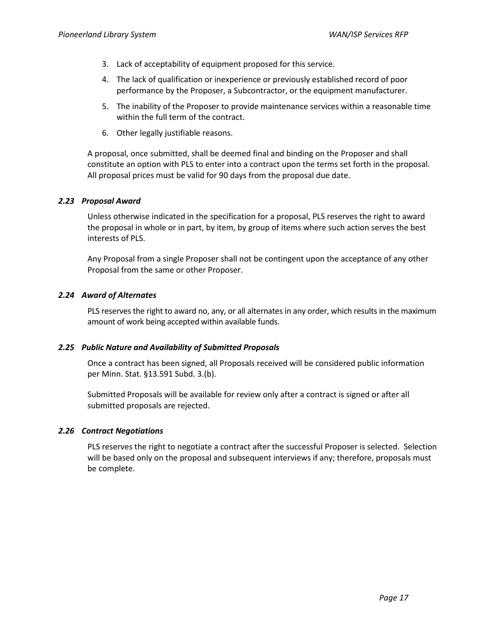- 3. Lack of acceptability of equipment proposed for this service.
- 4. The lack of qualification or inexperience or previously established record of poor performance by the Proposer, a Subcontractor, or the equipment manufacturer.
- 5. The inability of the Proposer to provide maintenance services within a reasonable time within the full term of the contract.
- 6. Other legally justifiable reasons.

A proposal, once submitted, shall be deemed final and binding on the Proposer and shall constitute an option with PLS to enter into a contract upon the terms set forth in the proposal. All proposal prices must be valid for 90 days from the proposal due date.

## *2.23 Proposal Award*

Unless otherwise indicated in the specification for a proposal, PLS reserves the right to award the proposal in whole or in part, by item, by group of items where such action serves the best interests of PLS.

Any Proposal from a single Proposer shall not be contingent upon the acceptance of any other Proposal from the same or other Proposer.

## *2.24 Award of Alternates*

PLS reserves the right to award no, any, or all alternates in any order, which results in the maximum amount of work being accepted within available funds.

## *2.25 Public Nature and Availability of Submitted Proposals*

Once a contract has been signed, all Proposals received will be considered public information per Minn. Stat. §13.591 Subd. 3.(b).

Submitted Proposals will be available for review only after a contract is signed or after all submitted proposals are rejected.

## *2.26 Contract Negotiations*

PLS reserves the right to negotiate a contract after the successful Proposer is selected. Selection will be based only on the proposal and subsequent interviews if any; therefore, proposals must be complete.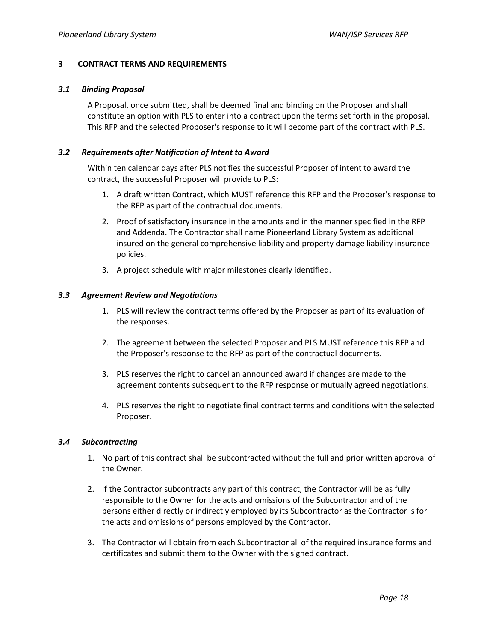#### **3 CONTRACT TERMS AND REQUIREMENTS**

#### *3.1 Binding Proposal*

A Proposal, once submitted, shall be deemed final and binding on the Proposer and shall constitute an option with PLS to enter into a contract upon the terms set forth in the proposal. This RFP and the selected Proposer's response to it will become part of the contract with PLS.

#### *3.2 Requirements after Notification of Intent to Award*

Within ten calendar days after PLS notifies the successful Proposer of intent to award the contract, the successful Proposer will provide to PLS:

- 1. A draft written Contract, which MUST reference this RFP and the Proposer's response to the RFP as part of the contractual documents.
- 2. Proof of satisfactory insurance in the amounts and in the manner specified in the RFP and Addenda. The Contractor shall name Pioneerland Library System as additional insured on the general comprehensive liability and property damage liability insurance policies.
- 3. A project schedule with major milestones clearly identified.

#### *3.3 Agreement Review and Negotiations*

- 1. PLS will review the contract terms offered by the Proposer as part of its evaluation of the responses.
- 2. The agreement between the selected Proposer and PLS MUST reference this RFP and the Proposer's response to the RFP as part of the contractual documents.
- 3. PLS reserves the right to cancel an announced award if changes are made to the agreement contents subsequent to the RFP response or mutually agreed negotiations.
- 4. PLS reserves the right to negotiate final contract terms and conditions with the selected Proposer.

## *3.4 Subcontracting*

- 1. No part of this contract shall be subcontracted without the full and prior written approval of the Owner.
- 2. If the Contractor subcontracts any part of this contract, the Contractor will be as fully responsible to the Owner for the acts and omissions of the Subcontractor and of the persons either directly or indirectly employed by its Subcontractor as the Contractor is for the acts and omissions of persons employed by the Contractor.
- 3. The Contractor will obtain from each Subcontractor all of the required insurance forms and certificates and submit them to the Owner with the signed contract.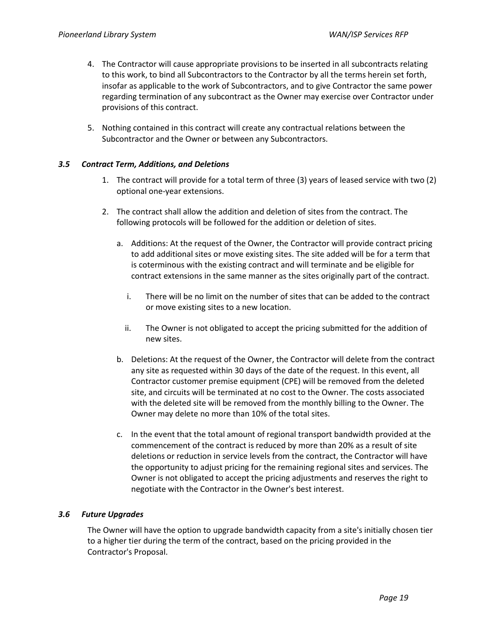- 4. The Contractor will cause appropriate provisions to be inserted in all subcontracts relating to this work, to bind all Subcontractors to the Contractor by all the terms herein set forth, insofar as applicable to the work of Subcontractors, and to give Contractor the same power regarding termination of any subcontract as the Owner may exercise over Contractor under provisions of this contract.
- 5. Nothing contained in this contract will create any contractual relations between the Subcontractor and the Owner or between any Subcontractors.

#### *3.5 Contract Term, Additions, and Deletions*

- 1. The contract will provide for a total term of three (3) years of leased service with two (2) optional one-year extensions.
- 2. The contract shall allow the addition and deletion of sites from the contract. The following protocols will be followed for the addition or deletion of sites.
	- a. Additions: At the request of the Owner, the Contractor will provide contract pricing to add additional sites or move existing sites. The site added will be for a term that is coterminous with the existing contract and will terminate and be eligible for contract extensions in the same manner as the sites originally part of the contract.
		- i. There will be no limit on the number of sites that can be added to the contract or move existing sites to a new location.
		- ii. The Owner is not obligated to accept the pricing submitted for the addition of new sites.
	- b. Deletions: At the request of the Owner, the Contractor will delete from the contract any site as requested within 30 days of the date of the request. In this event, all Contractor customer premise equipment (CPE) will be removed from the deleted site, and circuits will be terminated at no cost to the Owner. The costs associated with the deleted site will be removed from the monthly billing to the Owner. The Owner may delete no more than 10% of the total sites.
	- c. In the event that the total amount of regional transport bandwidth provided at the commencement of the contract is reduced by more than 20% as a result of site deletions or reduction in service levels from the contract, the Contractor will have the opportunity to adjust pricing for the remaining regional sites and services. The Owner is not obligated to accept the pricing adjustments and reserves the right to negotiate with the Contractor in the Owner's best interest.

## *3.6 Future Upgrades*

The Owner will have the option to upgrade bandwidth capacity from a site's initially chosen tier to a higher tier during the term of the contract, based on the pricing provided in the Contractor's Proposal.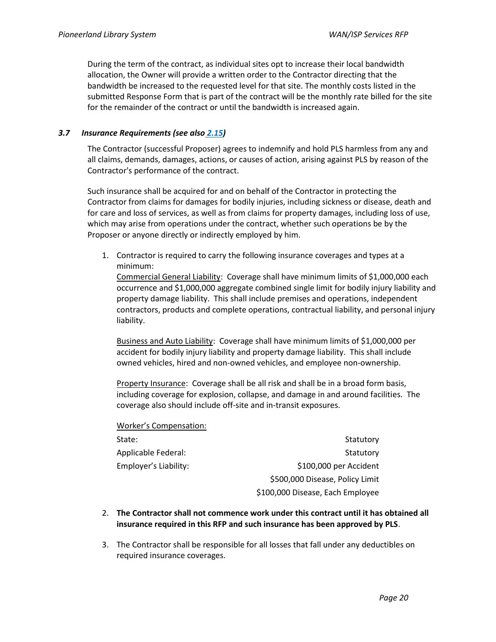During the term of the contract, as individual sites opt to increase their local bandwidth allocation, the Owner will provide a written order to the Contractor directing that the bandwidth be increased to the requested level for that site. The monthly costs listed in the submitted Response Form that is part of the contract will be the monthly rate billed for the site for the remainder of the contract or until the bandwidth is increased again.

#### <span id="page-19-0"></span>*3.7 Insurance Requirements (see also [2.15\)](#page-13-0)*

The Contractor (successful Proposer) agrees to indemnify and hold PLS harmless from any and all claims, demands, damages, actions, or causes of action, arising against PLS by reason of the Contractor's performance of the contract.

Such insurance shall be acquired for and on behalf of the Contractor in protecting the Contractor from claims for damages for bodily injuries, including sickness or disease, death and for care and loss of services, as well as from claims for property damages, including loss of use, which may arise from operations under the contract, whether such operations be by the Proposer or anyone directly or indirectly employed by him.

1. Contractor is required to carry the following insurance coverages and types at a minimum:

Commercial General Liability: Coverage shall have minimum limits of \$1,000,000 each occurrence and \$1,000,000 aggregate combined single limit for bodily injury liability and property damage liability. This shall include premises and operations, independent contractors, products and complete operations, contractual liability, and personal injury liability.

Business and Auto Liability: Coverage shall have minimum limits of \$1,000,000 per accident for bodily injury liability and property damage liability. This shall include owned vehicles, hired and non-owned vehicles, and employee non-ownership.

Property Insurance: Coverage shall be all risk and shall be in a broad form basis, including coverage for explosion, collapse, and damage in and around facilities. The coverage also should include off-site and in-transit exposures.

Worker's Compensation:

| Statutory                        |
|----------------------------------|
| Statutory                        |
| \$100,000 per Accident           |
| \$500,000 Disease, Policy Limit  |
| \$100,000 Disease, Each Employee |
|                                  |

- 2. **The Contractor shall not commence work under this contract until it has obtained all insurance required in this RFP and such insurance has been approved by PLS**.
- 3. The Contractor shall be responsible for all losses that fall under any deductibles on required insurance coverages.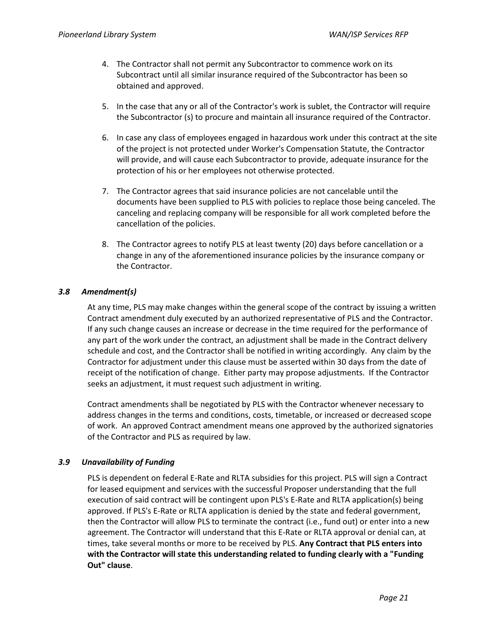- 4. The Contractor shall not permit any Subcontractor to commence work on its Subcontract until all similar insurance required of the Subcontractor has been so obtained and approved.
- 5. In the case that any or all of the Contractor's work is sublet, the Contractor will require the Subcontractor (s) to procure and maintain all insurance required of the Contractor.
- 6. In case any class of employees engaged in hazardous work under this contract at the site of the project is not protected under Worker's Compensation Statute, the Contractor will provide, and will cause each Subcontractor to provide, adequate insurance for the protection of his or her employees not otherwise protected.
- 7. The Contractor agrees that said insurance policies are not cancelable until the documents have been supplied to PLS with policies to replace those being canceled. The canceling and replacing company will be responsible for all work completed before the cancellation of the policies.
- 8. The Contractor agrees to notify PLS at least twenty (20) days before cancellation or a change in any of the aforementioned insurance policies by the insurance company or the Contractor.

# *3.8 Amendment(s)*

At any time, PLS may make changes within the general scope of the contract by issuing a written Contract amendment duly executed by an authorized representative of PLS and the Contractor. If any such change causes an increase or decrease in the time required for the performance of any part of the work under the contract, an adjustment shall be made in the Contract delivery schedule and cost, and the Contractor shall be notified in writing accordingly. Any claim by the Contractor for adjustment under this clause must be asserted within 30 days from the date of receipt of the notification of change. Either party may propose adjustments. If the Contractor seeks an adjustment, it must request such adjustment in writing.

Contract amendments shall be negotiated by PLS with the Contractor whenever necessary to address changes in the terms and conditions, costs, timetable, or increased or decreased scope of work. An approved Contract amendment means one approved by the authorized signatories of the Contractor and PLS as required by law.

# *3.9 Unavailability of Funding*

PLS is dependent on federal E-Rate and RLTA subsidies for this project. PLS will sign a Contract for leased equipment and services with the successful Proposer understanding that the full execution of said contract will be contingent upon PLS's E-Rate and RLTA application(s) being approved. If PLS's E-Rate or RLTA application is denied by the state and federal government, then the Contractor will allow PLS to terminate the contract (i.e., fund out) or enter into a new agreement. The Contractor will understand that this E-Rate or RLTA approval or denial can, at times, take several months or more to be received by PLS. **Any Contract that PLS enters into with the Contractor will state this understanding related to funding clearly with a "Funding Out" clause**.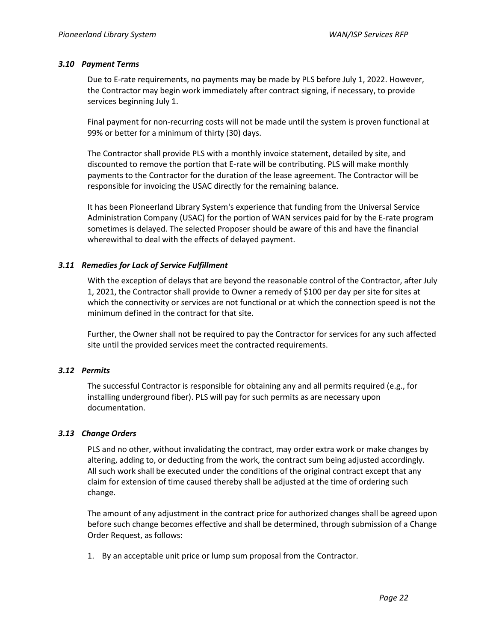#### *3.10 Payment Terms*

Due to E-rate requirements, no payments may be made by PLS before July 1, 2022. However, the Contractor may begin work immediately after contract signing, if necessary, to provide services beginning July 1.

Final payment for non-recurring costs will not be made until the system is proven functional at 99% or better for a minimum of thirty (30) days.

The Contractor shall provide PLS with a monthly invoice statement, detailed by site, and discounted to remove the portion that E-rate will be contributing. PLS will make monthly payments to the Contractor for the duration of the lease agreement. The Contractor will be responsible for invoicing the USAC directly for the remaining balance.

It has been Pioneerland Library System's experience that funding from the Universal Service Administration Company (USAC) for the portion of WAN services paid for by the E-rate program sometimes is delayed. The selected Proposer should be aware of this and have the financial wherewithal to deal with the effects of delayed payment.

## *3.11 Remedies for Lack of Service Fulfillment*

With the exception of delays that are beyond the reasonable control of the Contractor, after July 1, 2021, the Contractor shall provide to Owner a remedy of \$100 per day per site for sites at which the connectivity or services are not functional or at which the connection speed is not the minimum defined in the contract for that site.

Further, the Owner shall not be required to pay the Contractor for services for any such affected site until the provided services meet the contracted requirements.

## *3.12 Permits*

The successful Contractor is responsible for obtaining any and all permits required (e.g., for installing underground fiber). PLS will pay for such permits as are necessary upon documentation.

## *3.13 Change Orders*

PLS and no other, without invalidating the contract, may order extra work or make changes by altering, adding to, or deducting from the work, the contract sum being adjusted accordingly. All such work shall be executed under the conditions of the original contract except that any claim for extension of time caused thereby shall be adjusted at the time of ordering such change.

The amount of any adjustment in the contract price for authorized changes shall be agreed upon before such change becomes effective and shall be determined, through submission of a Change Order Request, as follows:

1. By an acceptable unit price or lump sum proposal from the Contractor.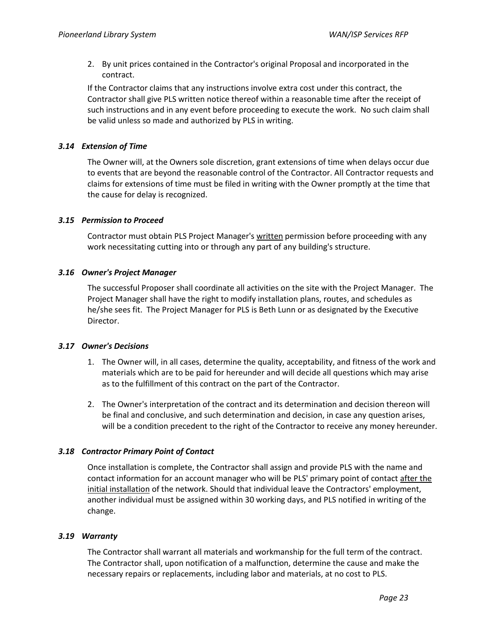2. By unit prices contained in the Contractor's original Proposal and incorporated in the contract.

If the Contractor claims that any instructions involve extra cost under this contract, the Contractor shall give PLS written notice thereof within a reasonable time after the receipt of such instructions and in any event before proceeding to execute the work. No such claim shall be valid unless so made and authorized by PLS in writing.

## *3.14 Extension of Time*

The Owner will, at the Owners sole discretion, grant extensions of time when delays occur due to events that are beyond the reasonable control of the Contractor. All Contractor requests and claims for extensions of time must be filed in writing with the Owner promptly at the time that the cause for delay is recognized.

## *3.15 Permission to Proceed*

Contractor must obtain PLS Project Manager's written permission before proceeding with any work necessitating cutting into or through any part of any building's structure.

## *3.16 Owner's Project Manager*

The successful Proposer shall coordinate all activities on the site with the Project Manager. The Project Manager shall have the right to modify installation plans, routes, and schedules as he/she sees fit. The Project Manager for PLS is Beth Lunn or as designated by the Executive Director.

## *3.17 Owner's Decisions*

- 1. The Owner will, in all cases, determine the quality, acceptability, and fitness of the work and materials which are to be paid for hereunder and will decide all questions which may arise as to the fulfillment of this contract on the part of the Contractor.
- 2. The Owner's interpretation of the contract and its determination and decision thereon will be final and conclusive, and such determination and decision, in case any question arises, will be a condition precedent to the right of the Contractor to receive any money hereunder.

## *3.18 Contractor Primary Point of Contact*

Once installation is complete, the Contractor shall assign and provide PLS with the name and contact information for an account manager who will be PLS' primary point of contact after the initial installation of the network. Should that individual leave the Contractors' employment, another individual must be assigned within 30 working days, and PLS notified in writing of the change.

## *3.19 Warranty*

The Contractor shall warrant all materials and workmanship for the full term of the contract. The Contractor shall, upon notification of a malfunction, determine the cause and make the necessary repairs or replacements, including labor and materials, at no cost to PLS.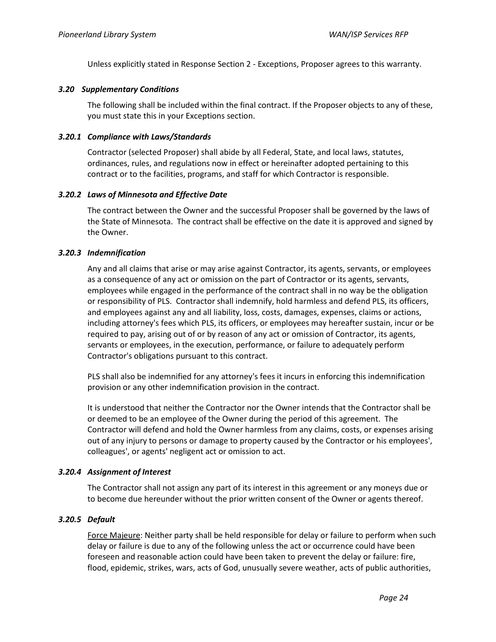Unless explicitly stated in Response Section 2 - Exceptions, Proposer agrees to this warranty.

## *3.20 Supplementary Conditions*

The following shall be included within the final contract. If the Proposer objects to any of these, you must state this in your Exceptions section.

#### *3.20.1 Compliance with Laws/Standards*

Contractor (selected Proposer) shall abide by all Federal, State, and local laws, statutes, ordinances, rules, and regulations now in effect or hereinafter adopted pertaining to this contract or to the facilities, programs, and staff for which Contractor is responsible.

## *3.20.2 Laws of Minnesota and Effective Date*

The contract between the Owner and the successful Proposer shall be governed by the laws of the State of Minnesota. The contract shall be effective on the date it is approved and signed by the Owner.

## *3.20.3 Indemnification*

Any and all claims that arise or may arise against Contractor, its agents, servants, or employees as a consequence of any act or omission on the part of Contractor or its agents, servants, employees while engaged in the performance of the contract shall in no way be the obligation or responsibility of PLS. Contractor shall indemnify, hold harmless and defend PLS, its officers, and employees against any and all liability, loss, costs, damages, expenses, claims or actions, including attorney's fees which PLS, its officers, or employees may hereafter sustain, incur or be required to pay, arising out of or by reason of any act or omission of Contractor, its agents, servants or employees, in the execution, performance, or failure to adequately perform Contractor's obligations pursuant to this contract.

PLS shall also be indemnified for any attorney's fees it incurs in enforcing this indemnification provision or any other indemnification provision in the contract.

It is understood that neither the Contractor nor the Owner intends that the Contractor shall be or deemed to be an employee of the Owner during the period of this agreement. The Contractor will defend and hold the Owner harmless from any claims, costs, or expenses arising out of any injury to persons or damage to property caused by the Contractor or his employees', colleagues', or agents' negligent act or omission to act.

## *3.20.4 Assignment of Interest*

The Contractor shall not assign any part of its interest in this agreement or any moneys due or to become due hereunder without the prior written consent of the Owner or agents thereof.

## *3.20.5 Default*

Force Majeure: Neither party shall be held responsible for delay or failure to perform when such delay or failure is due to any of the following unless the act or occurrence could have been foreseen and reasonable action could have been taken to prevent the delay or failure: fire, flood, epidemic, strikes, wars, acts of God, unusually severe weather, acts of public authorities,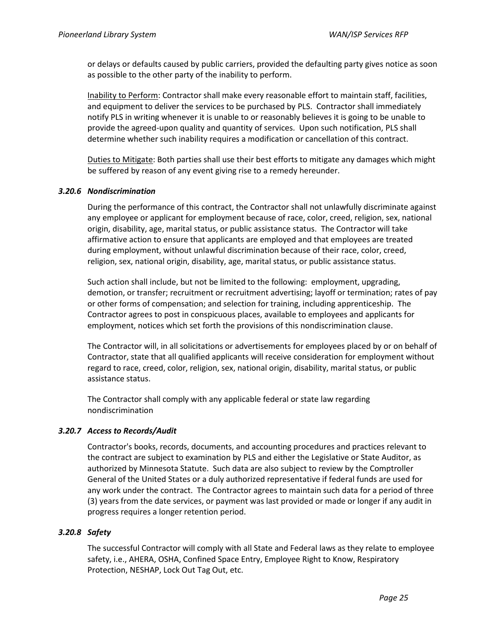or delays or defaults caused by public carriers, provided the defaulting party gives notice as soon as possible to the other party of the inability to perform.

Inability to Perform: Contractor shall make every reasonable effort to maintain staff, facilities, and equipment to deliver the services to be purchased by PLS. Contractor shall immediately notify PLS in writing whenever it is unable to or reasonably believes it is going to be unable to provide the agreed-upon quality and quantity of services. Upon such notification, PLS shall determine whether such inability requires a modification or cancellation of this contract.

Duties to Mitigate: Both parties shall use their best efforts to mitigate any damages which might be suffered by reason of any event giving rise to a remedy hereunder.

#### *3.20.6 Nondiscrimination*

During the performance of this contract, the Contractor shall not unlawfully discriminate against any employee or applicant for employment because of race, color, creed, religion, sex, national origin, disability, age, marital status, or public assistance status. The Contractor will take affirmative action to ensure that applicants are employed and that employees are treated during employment, without unlawful discrimination because of their race, color, creed, religion, sex, national origin, disability, age, marital status, or public assistance status.

Such action shall include, but not be limited to the following: employment, upgrading, demotion, or transfer; recruitment or recruitment advertising; layoff or termination; rates of pay or other forms of compensation; and selection for training, including apprenticeship. The Contractor agrees to post in conspicuous places, available to employees and applicants for employment, notices which set forth the provisions of this nondiscrimination clause.

The Contractor will, in all solicitations or advertisements for employees placed by or on behalf of Contractor, state that all qualified applicants will receive consideration for employment without regard to race, creed, color, religion, sex, national origin, disability, marital status, or public assistance status.

The Contractor shall comply with any applicable federal or state law regarding nondiscrimination

## *3.20.7 Access to Records/Audit*

Contractor's books, records, documents, and accounting procedures and practices relevant to the contract are subject to examination by PLS and either the Legislative or State Auditor, as authorized by Minnesota Statute. Such data are also subject to review by the Comptroller General of the United States or a duly authorized representative if federal funds are used for any work under the contract. The Contractor agrees to maintain such data for a period of three (3) years from the date services, or payment was last provided or made or longer if any audit in progress requires a longer retention period.

## *3.20.8 Safety*

The successful Contractor will comply with all State and Federal laws as they relate to employee safety, i.e., AHERA, OSHA, Confined Space Entry, Employee Right to Know, Respiratory Protection, NESHAP, Lock Out Tag Out, etc.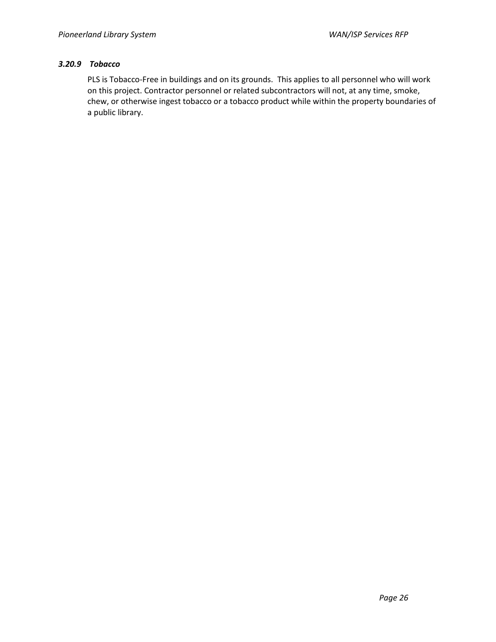# *3.20.9 Tobacco*

PLS is Tobacco-Free in buildings and on its grounds. This applies to all personnel who will work on this project. Contractor personnel or related subcontractors will not, at any time, smoke, chew, or otherwise ingest tobacco or a tobacco product while within the property boundaries of a public library.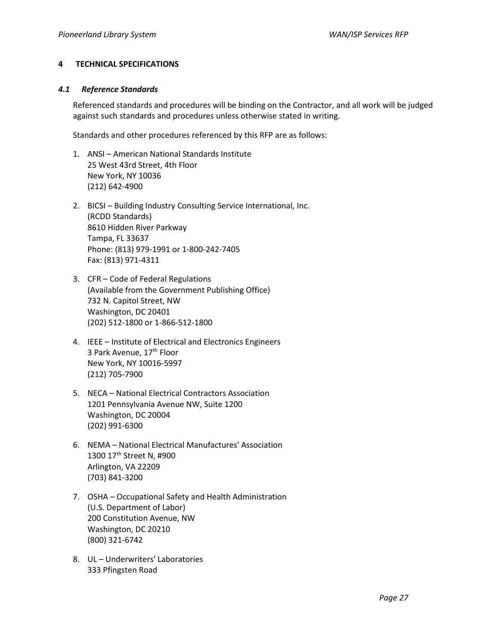## <span id="page-26-0"></span>**4 TECHNICAL SPECIFICATIONS**

#### *4.1 Reference Standards*

Referenced standards and procedures will be binding on the Contractor, and all work will be judged against such standards and procedures unless otherwise stated in writing.

Standards and other procedures referenced by this RFP are as follows:

- 1. ANSI American National Standards Institute 25 West 43rd Street, 4th Floor New York, NY 10036 (212) 642-4900
- 2. BICSI Building Industry Consulting Service International, Inc. (RCDD Standards) 8610 Hidden River Parkway Tampa, FL 33637 Phone: (813) 979-1991 or 1-800-242-7405 Fax: (813) 971-4311
- 3. CFR Code of Federal Regulations (Available from the Government Publishing Office) 732 N. Capitol Street, NW Washington, DC 20401 (202) 512-1800 or 1-866-512-1800
- 4. IEEE Institute of Electrical and Electronics Engineers 3 Park Avenue, 17<sup>th</sup> Floor New York, NY 10016-5997 (212) 705-7900
- 5. NECA National Electrical Contractors Association 1201 Pennsylvania Avenue NW, Suite 1200 Washington, DC 20004 (202) 991-6300
- 6. NEMA National Electrical Manufactures' Association 1300 17th Street N, #900 Arlington, VA 22209 (703) 841-3200
- 7. OSHA Occupational Safety and Health Administration (U.S. Department of Labor) 200 Constitution Avenue, NW Washington, DC 20210 (800) 321-6742
- 8. UL Underwriters' Laboratories 333 Pfingsten Road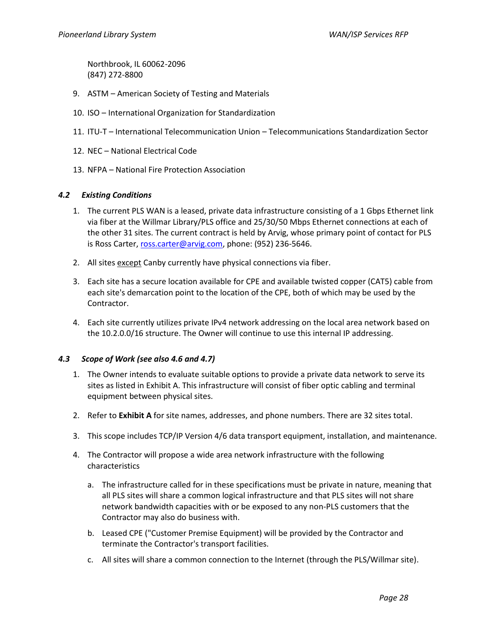Northbrook, IL 60062-2096 (847) 272-8800

- 9. ASTM American Society of Testing and Materials
- 10. ISO International Organization for Standardization
- 11. ITU-T International Telecommunication Union Telecommunications Standardization Sector
- 12. NEC National Electrical Code
- 13. NFPA National Fire Protection Association

## <span id="page-27-0"></span>*4.2 Existing Conditions*

- 1. The current PLS WAN is a leased, private data infrastructure consisting of a 1 Gbps Ethernet link via fiber at the Willmar Library/PLS office and 25/30/50 Mbps Ethernet connections at each of the other 31 sites. The current contract is held by Arvig, whose primary point of contact for PLS is Ross Carter[, ross.carter@arvig.com,](mailto:ross.carter@arvig.com) phone: (952) 236-5646.
- 2. All sites except Canby currently have physical connections via fiber.
- 3. Each site has a secure location available for CPE and available twisted copper (CAT5) cable from each site's demarcation point to the location of the CPE, both of which may be used by the Contractor.
- 4. Each site currently utilizes private IPv4 network addressing on the local area network based on the 10.2.0.0/16 structure. The Owner will continue to use this internal IP addressing.

## <span id="page-27-1"></span>*4.3 Scope of Work (see also [4.6](#page-29-0) and [4.7\)](#page-30-0)*

- 1. The Owner intends to evaluate suitable options to provide a private data network to serve its sites as listed in Exhibit A. This infrastructure will consist of fiber optic cabling and terminal equipment between physical sites.
- 2. Refer to **Exhibit A** for site names, addresses, and phone numbers. There are 32 sites total.
- 3. This scope includes TCP/IP Version 4/6 data transport equipment, installation, and maintenance.
- 4. The Contractor will propose a wide area network infrastructure with the following characteristics
	- a. The infrastructure called for in these specifications must be private in nature, meaning that all PLS sites will share a common logical infrastructure and that PLS sites will not share network bandwidth capacities with or be exposed to any non-PLS customers that the Contractor may also do business with.
	- b. Leased CPE ("Customer Premise Equipment) will be provided by the Contractor and terminate the Contractor's transport facilities.
	- c. All sites will share a common connection to the Internet (through the PLS/Willmar site).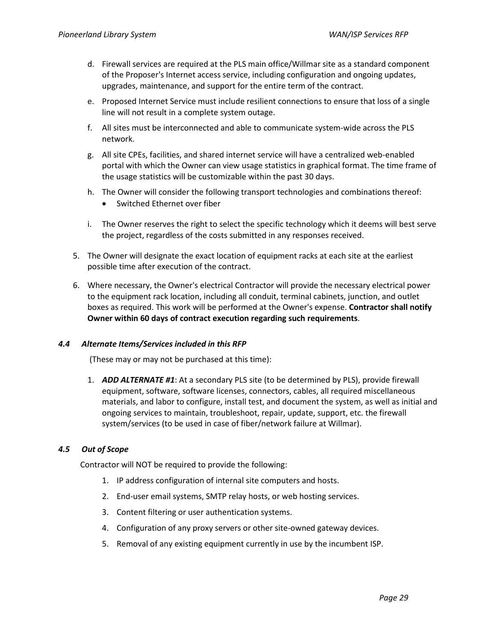- d. Firewall services are required at the PLS main office/Willmar site as a standard component of the Proposer's Internet access service, including configuration and ongoing updates, upgrades, maintenance, and support for the entire term of the contract.
- e. Proposed Internet Service must include resilient connections to ensure that loss of a single line will not result in a complete system outage.
- f. All sites must be interconnected and able to communicate system-wide across the PLS network.
- g. All site CPEs, facilities, and shared internet service will have a centralized web-enabled portal with which the Owner can view usage statistics in graphical format. The time frame of the usage statistics will be customizable within the past 30 days.
- h. The Owner will consider the following transport technologies and combinations thereof:
	- Switched Ethernet over fiber
- i. The Owner reserves the right to select the specific technology which it deems will best serve the project, regardless of the costs submitted in any responses received.
- 5. The Owner will designate the exact location of equipment racks at each site at the earliest possible time after execution of the contract.
- 6. Where necessary, the Owner's electrical Contractor will provide the necessary electrical power to the equipment rack location, including all conduit, terminal cabinets, junction, and outlet boxes as required. This work will be performed at the Owner's expense. **Contractor shall notify Owner within 60 days of contract execution regarding such requirements**.

## *4.4 Alternate Items/Services included in this RFP*

(These may or may not be purchased at this time):

1. *ADD ALTERNATE #1*: At a secondary PLS site (to be determined by PLS), provide firewall equipment, software, software licenses, connectors, cables, all required miscellaneous materials, and labor to configure, install test, and document the system, as well as initial and ongoing services to maintain, troubleshoot, repair, update, support, etc. the firewall system/services (to be used in case of fiber/network failure at Willmar).

## *4.5 Out of Scope*

Contractor will NOT be required to provide the following:

- 1. IP address configuration of internal site computers and hosts.
- 2. End-user email systems, SMTP relay hosts, or web hosting services.
- 3. Content filtering or user authentication systems.
- 4. Configuration of any proxy servers or other site-owned gateway devices.
- 5. Removal of any existing equipment currently in use by the incumbent ISP.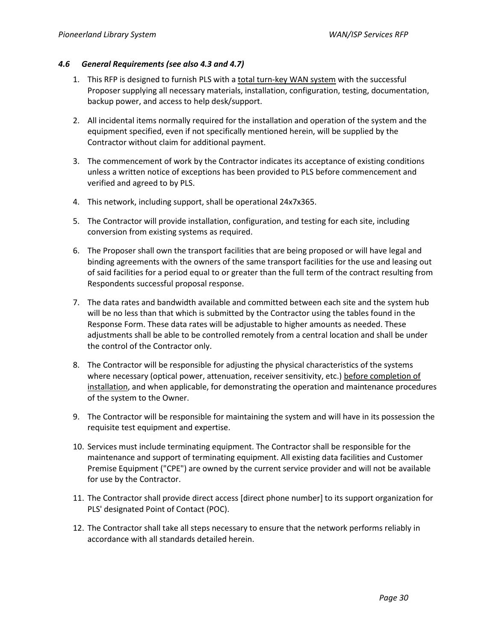## <span id="page-29-0"></span>*4.6 General Requirements (see also [4.3](#page-27-1) and [4.7\)](#page-30-0)*

- 1. This RFP is designed to furnish PLS with a total turn-key WAN system with the successful Proposer supplying all necessary materials, installation, configuration, testing, documentation, backup power, and access to help desk/support.
- 2. All incidental items normally required for the installation and operation of the system and the equipment specified, even if not specifically mentioned herein, will be supplied by the Contractor without claim for additional payment.
- 3. The commencement of work by the Contractor indicates its acceptance of existing conditions unless a written notice of exceptions has been provided to PLS before commencement and verified and agreed to by PLS.
- 4. This network, including support, shall be operational 24x7x365.
- 5. The Contractor will provide installation, configuration, and testing for each site, including conversion from existing systems as required.
- 6. The Proposer shall own the transport facilities that are being proposed or will have legal and binding agreements with the owners of the same transport facilities for the use and leasing out of said facilities for a period equal to or greater than the full term of the contract resulting from Respondents successful proposal response.
- 7. The data rates and bandwidth available and committed between each site and the system hub will be no less than that which is submitted by the Contractor using the tables found in the Response Form. These data rates will be adjustable to higher amounts as needed. These adjustments shall be able to be controlled remotely from a central location and shall be under the control of the Contractor only.
- 8. The Contractor will be responsible for adjusting the physical characteristics of the systems where necessary (optical power, attenuation, receiver sensitivity, etc.) before completion of installation, and when applicable, for demonstrating the operation and maintenance procedures of the system to the Owner.
- 9. The Contractor will be responsible for maintaining the system and will have in its possession the requisite test equipment and expertise.
- 10. Services must include terminating equipment. The Contractor shall be responsible for the maintenance and support of terminating equipment. All existing data facilities and Customer Premise Equipment ("CPE") are owned by the current service provider and will not be available for use by the Contractor.
- 11. The Contractor shall provide direct access [direct phone number] to its support organization for PLS' designated Point of Contact (POC).
- 12. The Contractor shall take all steps necessary to ensure that the network performs reliably in accordance with all standards detailed herein.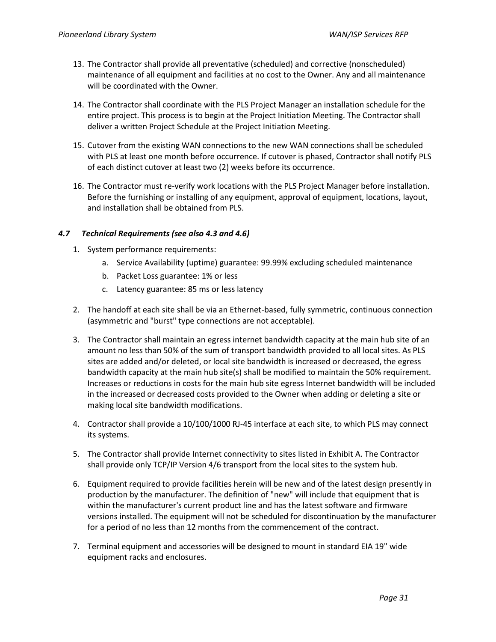- 13. The Contractor shall provide all preventative (scheduled) and corrective (nonscheduled) maintenance of all equipment and facilities at no cost to the Owner. Any and all maintenance will be coordinated with the Owner.
- 14. The Contractor shall coordinate with the PLS Project Manager an installation schedule for the entire project. This process is to begin at the Project Initiation Meeting. The Contractor shall deliver a written Project Schedule at the Project Initiation Meeting.
- 15. Cutover from the existing WAN connections to the new WAN connections shall be scheduled with PLS at least one month before occurrence. If cutover is phased, Contractor shall notify PLS of each distinct cutover at least two (2) weeks before its occurrence.
- 16. The Contractor must re-verify work locations with the PLS Project Manager before installation. Before the furnishing or installing of any equipment, approval of equipment, locations, layout, and installation shall be obtained from PLS.

## <span id="page-30-0"></span>*4.7 Technical Requirements (see also [4.3](#page-27-1) an[d 4.6\)](#page-29-0)*

- 1. System performance requirements:
	- a. Service Availability (uptime) guarantee: 99.99% excluding scheduled maintenance
	- b. Packet Loss guarantee: 1% or less
	- c. Latency guarantee: 85 ms or less latency
- 2. The handoff at each site shall be via an Ethernet-based, fully symmetric, continuous connection (asymmetric and "burst" type connections are not acceptable).
- 3. The Contractor shall maintain an egress internet bandwidth capacity at the main hub site of an amount no less than 50% of the sum of transport bandwidth provided to all local sites. As PLS sites are added and/or deleted, or local site bandwidth is increased or decreased, the egress bandwidth capacity at the main hub site(s) shall be modified to maintain the 50% requirement. Increases or reductions in costs for the main hub site egress Internet bandwidth will be included in the increased or decreased costs provided to the Owner when adding or deleting a site or making local site bandwidth modifications.
- 4. Contractor shall provide a 10/100/1000 RJ-45 interface at each site, to which PLS may connect its systems.
- 5. The Contractor shall provide Internet connectivity to sites listed in Exhibit A. The Contractor shall provide only TCP/IP Version 4/6 transport from the local sites to the system hub.
- 6. Equipment required to provide facilities herein will be new and of the latest design presently in production by the manufacturer. The definition of "new" will include that equipment that is within the manufacturer's current product line and has the latest software and firmware versions installed. The equipment will not be scheduled for discontinuation by the manufacturer for a period of no less than 12 months from the commencement of the contract.
- 7. Terminal equipment and accessories will be designed to mount in standard EIA 19" wide equipment racks and enclosures.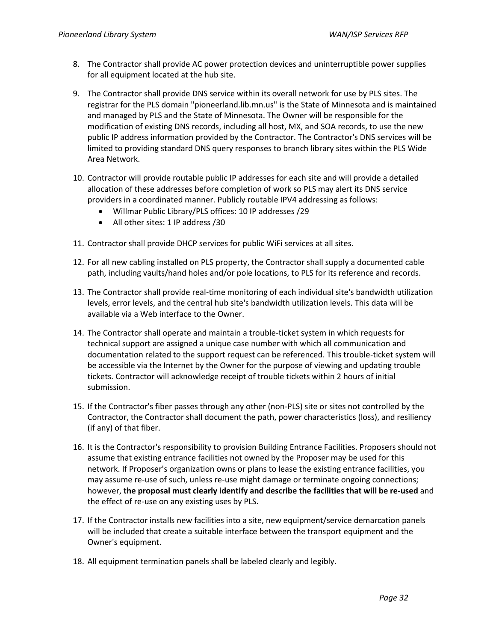- 8. The Contractor shall provide AC power protection devices and uninterruptible power supplies for all equipment located at the hub site.
- 9. The Contractor shall provide DNS service within its overall network for use by PLS sites. The registrar for the PLS domain "pioneerland.lib.mn.us" is the State of Minnesota and is maintained and managed by PLS and the State of Minnesota. The Owner will be responsible for the modification of existing DNS records, including all host, MX, and SOA records, to use the new public IP address information provided by the Contractor. The Contractor's DNS services will be limited to providing standard DNS query responses to branch library sites within the PLS Wide Area Network.
- 10. Contractor will provide routable public IP addresses for each site and will provide a detailed allocation of these addresses before completion of work so PLS may alert its DNS service providers in a coordinated manner. Publicly routable IPV4 addressing as follows:
	- Willmar Public Library/PLS offices: 10 IP addresses /29
	- All other sites: 1 IP address /30
- 11. Contractor shall provide DHCP services for public WiFi services at all sites.
- 12. For all new cabling installed on PLS property, the Contractor shall supply a documented cable path, including vaults/hand holes and/or pole locations, to PLS for its reference and records.
- 13. The Contractor shall provide real-time monitoring of each individual site's bandwidth utilization levels, error levels, and the central hub site's bandwidth utilization levels. This data will be available via a Web interface to the Owner.
- 14. The Contractor shall operate and maintain a trouble-ticket system in which requests for technical support are assigned a unique case number with which all communication and documentation related to the support request can be referenced. This trouble-ticket system will be accessible via the Internet by the Owner for the purpose of viewing and updating trouble tickets. Contractor will acknowledge receipt of trouble tickets within 2 hours of initial submission.
- 15. If the Contractor's fiber passes through any other (non-PLS) site or sites not controlled by the Contractor, the Contractor shall document the path, power characteristics (loss), and resiliency (if any) of that fiber.
- 16. It is the Contractor's responsibility to provision Building Entrance Facilities. Proposers should not assume that existing entrance facilities not owned by the Proposer may be used for this network. If Proposer's organization owns or plans to lease the existing entrance facilities, you may assume re-use of such, unless re-use might damage or terminate ongoing connections; however, **the proposal must clearly identify and describe the facilities that will be re-used** and the effect of re-use on any existing uses by PLS.
- 17. If the Contractor installs new facilities into a site, new equipment/service demarcation panels will be included that create a suitable interface between the transport equipment and the Owner's equipment.
- 18. All equipment termination panels shall be labeled clearly and legibly.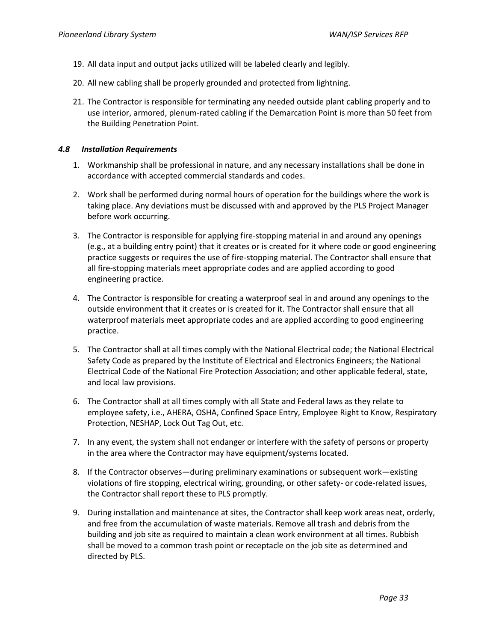- 19. All data input and output jacks utilized will be labeled clearly and legibly.
- 20. All new cabling shall be properly grounded and protected from lightning.
- 21. The Contractor is responsible for terminating any needed outside plant cabling properly and to use interior, armored, plenum-rated cabling if the Demarcation Point is more than 50 feet from the Building Penetration Point.

## *4.8 Installation Requirements*

- 1. Workmanship shall be professional in nature, and any necessary installations shall be done in accordance with accepted commercial standards and codes.
- 2. Work shall be performed during normal hours of operation for the buildings where the work is taking place. Any deviations must be discussed with and approved by the PLS Project Manager before work occurring.
- 3. The Contractor is responsible for applying fire-stopping material in and around any openings (e.g., at a building entry point) that it creates or is created for it where code or good engineering practice suggests or requires the use of fire-stopping material. The Contractor shall ensure that all fire-stopping materials meet appropriate codes and are applied according to good engineering practice.
- 4. The Contractor is responsible for creating a waterproof seal in and around any openings to the outside environment that it creates or is created for it. The Contractor shall ensure that all waterproof materials meet appropriate codes and are applied according to good engineering practice.
- 5. The Contractor shall at all times comply with the National Electrical code; the National Electrical Safety Code as prepared by the Institute of Electrical and Electronics Engineers; the National Electrical Code of the National Fire Protection Association; and other applicable federal, state, and local law provisions.
- 6. The Contractor shall at all times comply with all State and Federal laws as they relate to employee safety, i.e., AHERA, OSHA, Confined Space Entry, Employee Right to Know, Respiratory Protection, NESHAP, Lock Out Tag Out, etc.
- 7. In any event, the system shall not endanger or interfere with the safety of persons or property in the area where the Contractor may have equipment/systems located.
- 8. If the Contractor observes—during preliminary examinations or subsequent work—existing violations of fire stopping, electrical wiring, grounding, or other safety- or code-related issues, the Contractor shall report these to PLS promptly.
- 9. During installation and maintenance at sites, the Contractor shall keep work areas neat, orderly, and free from the accumulation of waste materials. Remove all trash and debris from the building and job site as required to maintain a clean work environment at all times. Rubbish shall be moved to a common trash point or receptacle on the job site as determined and directed by PLS.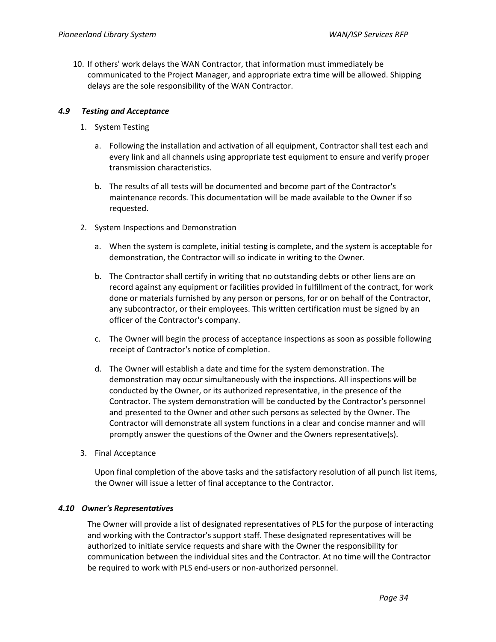10. If others' work delays the WAN Contractor, that information must immediately be communicated to the Project Manager, and appropriate extra time will be allowed. Shipping delays are the sole responsibility of the WAN Contractor.

#### *4.9 Testing and Acceptance*

- 1. System Testing
	- a. Following the installation and activation of all equipment, Contractor shall test each and every link and all channels using appropriate test equipment to ensure and verify proper transmission characteristics.
	- b. The results of all tests will be documented and become part of the Contractor's maintenance records. This documentation will be made available to the Owner if so requested.
- 2. System Inspections and Demonstration
	- a. When the system is complete, initial testing is complete, and the system is acceptable for demonstration, the Contractor will so indicate in writing to the Owner.
	- b. The Contractor shall certify in writing that no outstanding debts or other liens are on record against any equipment or facilities provided in fulfillment of the contract, for work done or materials furnished by any person or persons, for or on behalf of the Contractor, any subcontractor, or their employees. This written certification must be signed by an officer of the Contractor's company.
	- c. The Owner will begin the process of acceptance inspections as soon as possible following receipt of Contractor's notice of completion.
	- d. The Owner will establish a date and time for the system demonstration. The demonstration may occur simultaneously with the inspections. All inspections will be conducted by the Owner, or its authorized representative, in the presence of the Contractor. The system demonstration will be conducted by the Contractor's personnel and presented to the Owner and other such persons as selected by the Owner. The Contractor will demonstrate all system functions in a clear and concise manner and will promptly answer the questions of the Owner and the Owners representative(s).
- 3. Final Acceptance

Upon final completion of the above tasks and the satisfactory resolution of all punch list items, the Owner will issue a letter of final acceptance to the Contractor.

#### *4.10 Owner's Representatives*

The Owner will provide a list of designated representatives of PLS for the purpose of interacting and working with the Contractor's support staff. These designated representatives will be authorized to initiate service requests and share with the Owner the responsibility for communication between the individual sites and the Contractor. At no time will the Contractor be required to work with PLS end-users or non-authorized personnel.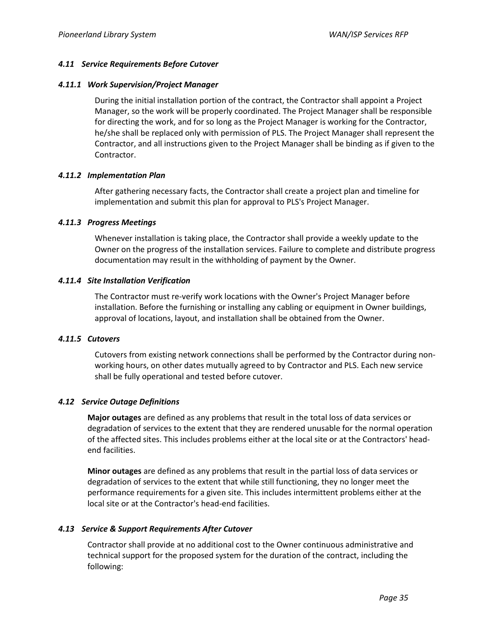#### *4.11 Service Requirements Before Cutover*

#### *4.11.1 Work Supervision/Project Manager*

During the initial installation portion of the contract, the Contractor shall appoint a Project Manager, so the work will be properly coordinated. The Project Manager shall be responsible for directing the work, and for so long as the Project Manager is working for the Contractor, he/she shall be replaced only with permission of PLS. The Project Manager shall represent the Contractor, and all instructions given to the Project Manager shall be binding as if given to the Contractor.

#### *4.11.2 Implementation Plan*

After gathering necessary facts, the Contractor shall create a project plan and timeline for implementation and submit this plan for approval to PLS's Project Manager.

#### *4.11.3 Progress Meetings*

Whenever installation is taking place, the Contractor shall provide a weekly update to the Owner on the progress of the installation services. Failure to complete and distribute progress documentation may result in the withholding of payment by the Owner.

#### *4.11.4 Site Installation Verification*

The Contractor must re-verify work locations with the Owner's Project Manager before installation. Before the furnishing or installing any cabling or equipment in Owner buildings, approval of locations, layout, and installation shall be obtained from the Owner.

## *4.11.5 Cutovers*

Cutovers from existing network connections shall be performed by the Contractor during nonworking hours, on other dates mutually agreed to by Contractor and PLS. Each new service shall be fully operational and tested before cutover.

## *4.12 Service Outage Definitions*

**Major outages** are defined as any problems that result in the total loss of data services or degradation of services to the extent that they are rendered unusable for the normal operation of the affected sites. This includes problems either at the local site or at the Contractors' headend facilities.

**Minor outages** are defined as any problems that result in the partial loss of data services or degradation of services to the extent that while still functioning, they no longer meet the performance requirements for a given site. This includes intermittent problems either at the local site or at the Contractor's head-end facilities.

## *4.13 Service & Support Requirements After Cutover*

Contractor shall provide at no additional cost to the Owner continuous administrative and technical support for the proposed system for the duration of the contract, including the following: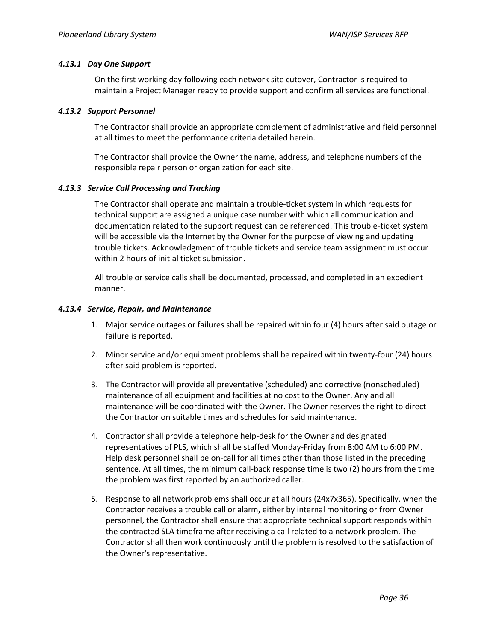#### *4.13.1 Day One Support*

On the first working day following each network site cutover, Contractor is required to maintain a Project Manager ready to provide support and confirm all services are functional.

#### *4.13.2 Support Personnel*

The Contractor shall provide an appropriate complement of administrative and field personnel at all times to meet the performance criteria detailed herein.

The Contractor shall provide the Owner the name, address, and telephone numbers of the responsible repair person or organization for each site.

#### *4.13.3 Service Call Processing and Tracking*

The Contractor shall operate and maintain a trouble-ticket system in which requests for technical support are assigned a unique case number with which all communication and documentation related to the support request can be referenced. This trouble-ticket system will be accessible via the Internet by the Owner for the purpose of viewing and updating trouble tickets. Acknowledgment of trouble tickets and service team assignment must occur within 2 hours of initial ticket submission.

All trouble or service calls shall be documented, processed, and completed in an expedient manner.

#### *4.13.4 Service, Repair, and Maintenance*

- 1. Major service outages or failures shall be repaired within four (4) hours after said outage or failure is reported.
- 2. Minor service and/or equipment problems shall be repaired within twenty-four (24) hours after said problem is reported.
- 3. The Contractor will provide all preventative (scheduled) and corrective (nonscheduled) maintenance of all equipment and facilities at no cost to the Owner. Any and all maintenance will be coordinated with the Owner. The Owner reserves the right to direct the Contractor on suitable times and schedules for said maintenance.
- 4. Contractor shall provide a telephone help-desk for the Owner and designated representatives of PLS, which shall be staffed Monday-Friday from 8:00 AM to 6:00 PM. Help desk personnel shall be on-call for all times other than those listed in the preceding sentence. At all times, the minimum call-back response time is two (2) hours from the time the problem was first reported by an authorized caller.
- 5. Response to all network problems shall occur at all hours (24x7x365). Specifically, when the Contractor receives a trouble call or alarm, either by internal monitoring or from Owner personnel, the Contractor shall ensure that appropriate technical support responds within the contracted SLA timeframe after receiving a call related to a network problem. The Contractor shall then work continuously until the problem is resolved to the satisfaction of the Owner's representative.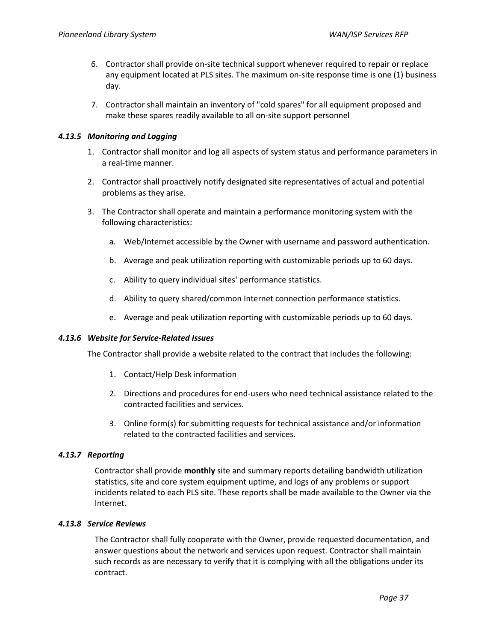- 6. Contractor shall provide on-site technical support whenever required to repair or replace any equipment located at PLS sites. The maximum on-site response time is one (1) business day.
- 7. Contractor shall maintain an inventory of "cold spares" for all equipment proposed and make these spares readily available to all on-site support personnel

## *4.13.5 Monitoring and Logging*

- 1. Contractor shall monitor and log all aspects of system status and performance parameters in a real-time manner.
- 2. Contractor shall proactively notify designated site representatives of actual and potential problems as they arise.
- 3. The Contractor shall operate and maintain a performance monitoring system with the following characteristics:
	- a. Web/Internet accessible by the Owner with username and password authentication.
	- b. Average and peak utilization reporting with customizable periods up to 60 days.
	- c. Ability to query individual sites' performance statistics.
	- d. Ability to query shared/common Internet connection performance statistics.
	- e. Average and peak utilization reporting with customizable periods up to 60 days.

## *4.13.6 Website for Service-Related Issues*

The Contractor shall provide a website related to the contract that includes the following:

- 1. Contact/Help Desk information
- 2. Directions and procedures for end-users who need technical assistance related to the contracted facilities and services.
- 3. Online form(s) for submitting requests for technical assistance and/or information related to the contracted facilities and services.

## *4.13.7 Reporting*

Contractor shall provide **monthly** site and summary reports detailing bandwidth utilization statistics, site and core system equipment uptime, and logs of any problems or support incidents related to each PLS site. These reports shall be made available to the Owner via the Internet.

## *4.13.8 Service Reviews*

The Contractor shall fully cooperate with the Owner, provide requested documentation, and answer questions about the network and services upon request. Contractor shall maintain such records as are necessary to verify that it is complying with all the obligations under its contract.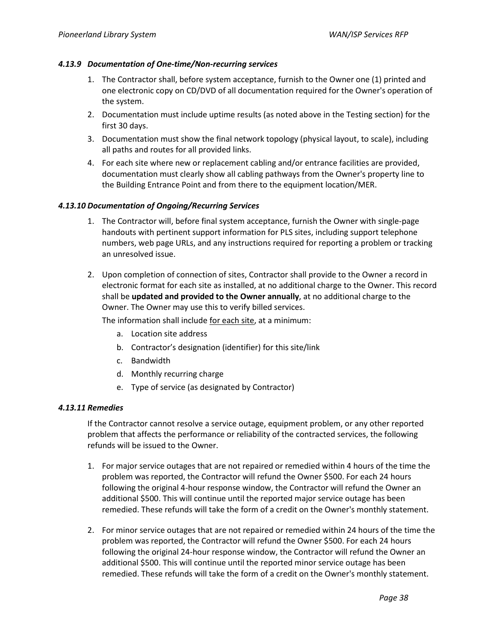#### *4.13.9 Documentation of One-time/Non-recurring services*

- 1. The Contractor shall, before system acceptance, furnish to the Owner one (1) printed and one electronic copy on CD/DVD of all documentation required for the Owner's operation of the system.
- 2. Documentation must include uptime results (as noted above in the Testing section) for the first 30 days.
- 3. Documentation must show the final network topology (physical layout, to scale), including all paths and routes for all provided links.
- 4. For each site where new or replacement cabling and/or entrance facilities are provided, documentation must clearly show all cabling pathways from the Owner's property line to the Building Entrance Point and from there to the equipment location/MER.

#### *4.13.10 Documentation of Ongoing/Recurring Services*

- 1. The Contractor will, before final system acceptance, furnish the Owner with single-page handouts with pertinent support information for PLS sites, including support telephone numbers, web page URLs, and any instructions required for reporting a problem or tracking an unresolved issue.
- 2. Upon completion of connection of sites, Contractor shall provide to the Owner a record in electronic format for each site as installed, at no additional charge to the Owner. This record shall be **updated and provided to the Owner annually**, at no additional charge to the Owner. The Owner may use this to verify billed services.

The information shall include for each site, at a minimum:

- a. Location site address
- b. Contractor's designation (identifier) for this site/link
- c. Bandwidth
- d. Monthly recurring charge
- e. Type of service (as designated by Contractor)

#### *4.13.11 Remedies*

If the Contractor cannot resolve a service outage, equipment problem, or any other reported problem that affects the performance or reliability of the contracted services, the following refunds will be issued to the Owner.

- 1. For major service outages that are not repaired or remedied within 4 hours of the time the problem was reported, the Contractor will refund the Owner \$500. For each 24 hours following the original 4-hour response window, the Contractor will refund the Owner an additional \$500. This will continue until the reported major service outage has been remedied. These refunds will take the form of a credit on the Owner's monthly statement.
- 2. For minor service outages that are not repaired or remedied within 24 hours of the time the problem was reported, the Contractor will refund the Owner \$500. For each 24 hours following the original 24-hour response window, the Contractor will refund the Owner an additional \$500. This will continue until the reported minor service outage has been remedied. These refunds will take the form of a credit on the Owner's monthly statement.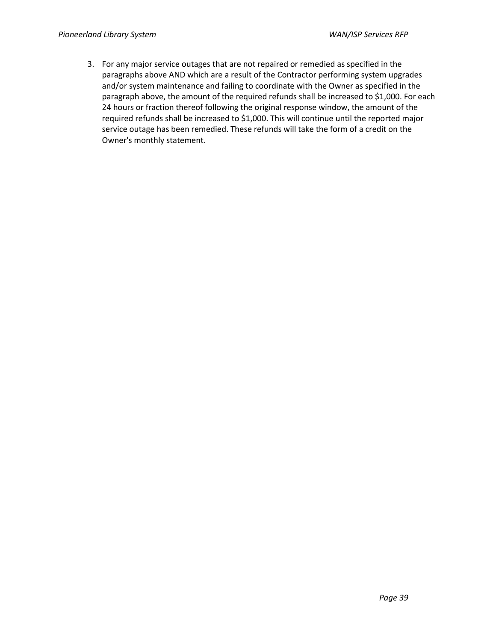3. For any major service outages that are not repaired or remedied as specified in the paragraphs above AND which are a result of the Contractor performing system upgrades and/or system maintenance and failing to coordinate with the Owner as specified in the paragraph above, the amount of the required refunds shall be increased to \$1,000. For each 24 hours or fraction thereof following the original response window, the amount of the required refunds shall be increased to \$1,000. This will continue until the reported major service outage has been remedied. These refunds will take the form of a credit on the Owner's monthly statement.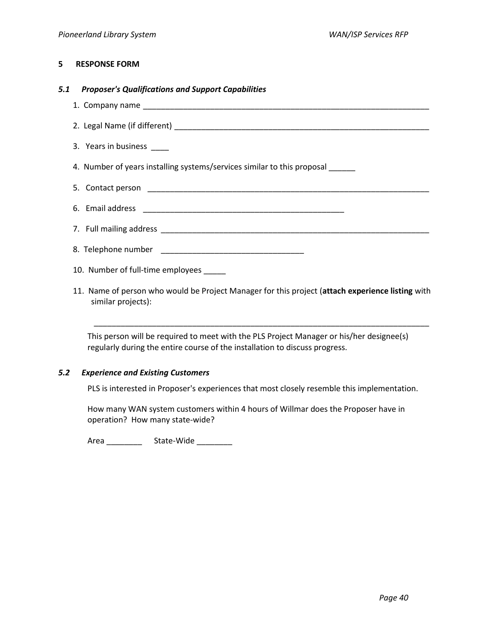#### **5 RESPONSE FORM**

#### *5.1 Proposer's Qualifications and Support Capabilities*

- 1. Company name \_\_\_\_\_\_\_\_\_\_\_\_\_\_\_\_\_\_\_\_\_\_\_\_\_\_\_\_\_\_\_\_\_\_\_\_\_\_\_\_\_\_\_\_\_\_\_\_\_\_\_\_\_\_\_\_\_\_\_\_\_\_\_\_
- 2. Legal Name (if different) \_\_\_\_\_\_\_\_\_\_\_\_\_\_\_\_\_\_\_\_\_\_\_\_\_\_\_\_\_\_\_\_\_\_\_\_\_\_\_\_\_\_\_\_\_\_\_\_\_\_\_\_\_\_\_\_\_
- 3. Years in business \_\_\_\_\_

4. Number of years installing systems/services similar to this proposal \_\_\_\_\_\_

6. Email address \_\_\_\_\_\_\_\_\_\_\_\_\_\_\_\_\_\_\_\_\_\_\_\_\_\_\_\_\_\_\_\_\_\_\_\_\_\_\_\_\_\_\_\_\_

- 5. Contact person **Exercise 2.** The set of the set of the set of the set of the set of the set of the set of the set of the set of the set of the set of the set of the set of the set of the set of the set of the set of the
- 7. Full mailing address \_\_\_\_\_\_\_\_\_\_\_\_\_\_\_\_\_\_\_\_\_\_\_\_\_\_\_\_\_\_\_\_\_\_\_\_\_\_\_\_\_\_\_\_\_\_\_\_\_\_\_\_\_\_\_\_\_\_\_\_
- 8. Telephone number \_\_\_\_\_\_\_\_\_\_\_\_\_\_\_\_\_\_\_\_\_\_\_\_\_\_\_\_\_\_\_\_
- 10. Number of full-time employees \_\_\_\_\_
- 11. Name of person who would be Project Manager for this project (**attach experience listing** with similar projects):

\_\_\_\_\_\_\_\_\_\_\_\_\_\_\_\_\_\_\_\_\_\_\_\_\_\_\_\_\_\_\_\_\_\_\_\_\_\_\_\_\_\_\_\_\_\_\_\_\_\_\_\_\_\_\_\_\_\_\_\_\_\_\_\_\_\_\_\_\_\_\_\_\_\_\_

This person will be required to meet with the PLS Project Manager or his/her designee(s) regularly during the entire course of the installation to discuss progress.

## *5.2 Experience and Existing Customers*

PLS is interested in Proposer's experiences that most closely resemble this implementation.

How many WAN system customers within 4 hours of Willmar does the Proposer have in operation? How many state-wide?

Area \_\_\_\_\_\_\_\_\_\_\_\_\_\_\_\_ State-Wide \_\_\_\_\_\_\_\_\_\_\_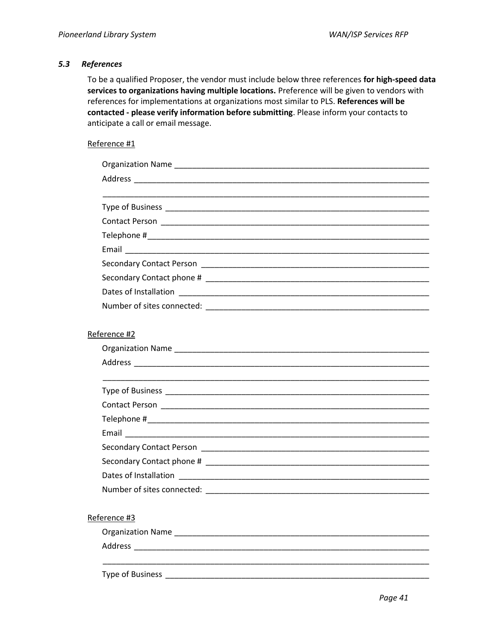#### *5.3 References*

To be a qualified Proposer, the vendor must include below three references **for high-speed data services to organizations having multiple locations.** Preference will be given to vendors with references for implementations at organizations most similar to PLS. **References will be contacted - please verify information before submitting**. Please inform your contacts to anticipate a call or email message.

#### Reference #1

Type of Business \_\_\_\_\_\_\_\_\_\_\_\_\_\_\_\_\_\_\_\_\_\_\_\_\_\_\_\_\_\_\_\_\_\_\_\_\_\_\_\_\_\_\_\_\_\_\_\_\_\_\_\_\_\_\_\_\_\_\_

| Reference #2 |
|--------------|
|              |
|              |
|              |
|              |
|              |
|              |
|              |
|              |
|              |
|              |
|              |
|              |
| Reference #3 |
|              |
|              |
|              |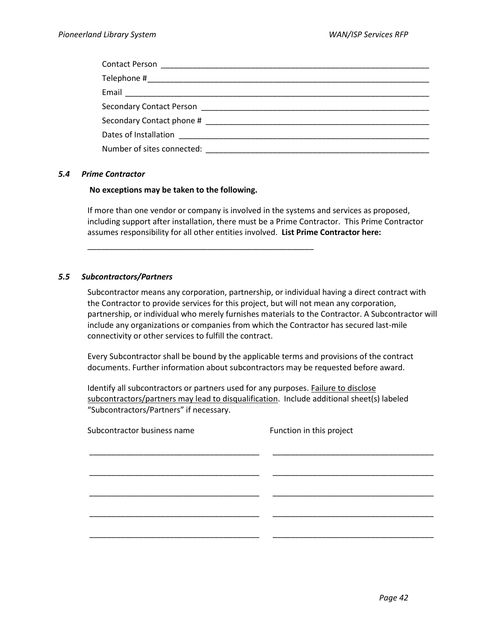#### *5.4 Prime Contractor*

#### **No exceptions may be taken to the following.**

\_\_\_\_\_\_\_\_\_\_\_\_\_\_\_\_\_\_\_\_\_\_\_\_\_\_\_\_\_\_\_\_\_\_\_\_\_\_\_\_\_\_\_\_\_\_\_\_\_\_\_

If more than one vendor or company is involved in the systems and services as proposed, including support after installation, there must be a Prime Contractor. This Prime Contractor assumes responsibility for all other entities involved. **List Prime Contractor here:**

#### *5.5 Subcontractors/Partners*

Subcontractor means any corporation, partnership, or individual having a direct contract with the Contractor to provide services for this project, but will not mean any corporation, partnership, or individual who merely furnishes materials to the Contractor. A Subcontractor will include any organizations or companies from which the Contractor has secured last-mile connectivity or other services to fulfill the contract.

Every Subcontractor shall be bound by the applicable terms and provisions of the contract documents. Further information about subcontractors may be requested before award.

Identify all subcontractors or partners used for any purposes. Failure to disclose subcontractors/partners may lead to disqualification. Include additional sheet(s) labeled "Subcontractors/Partners" if necessary.

| Subcontractor business name | Function in this project |
|-----------------------------|--------------------------|
|                             |                          |
|                             |                          |
|                             |                          |
|                             |                          |
|                             |                          |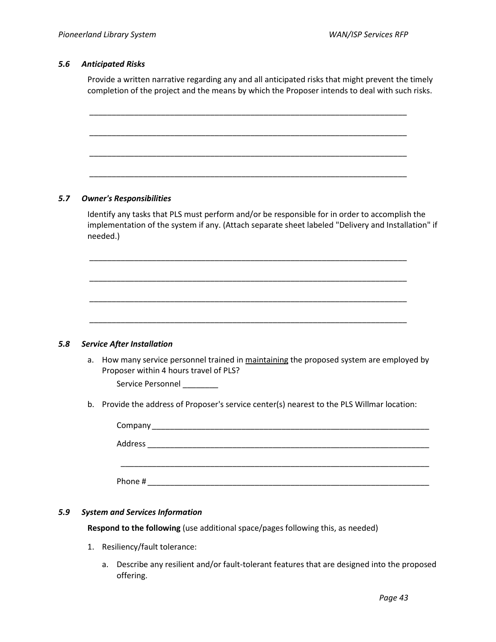#### *5.6 Anticipated Risks*

Provide a written narrative regarding any and all anticipated risks that might prevent the timely completion of the project and the means by which the Proposer intends to deal with such risks.

|    | <b>Owner's Responsibilities</b>                                                                                                                                                                                 |
|----|-----------------------------------------------------------------------------------------------------------------------------------------------------------------------------------------------------------------|
|    | Identify any tasks that PLS must perform and/or be responsible for in order to accomplish the<br>implementation of the system if any. (Attach separate sheet labeled "Delivery and Installation" if<br>needed.) |
|    |                                                                                                                                                                                                                 |
|    |                                                                                                                                                                                                                 |
|    |                                                                                                                                                                                                                 |
|    | <b>Service After Installation</b>                                                                                                                                                                               |
| a. | How many service personnel trained in maintaining the proposed system are employed by<br>Proposer within 4 hours travel of PLS?                                                                                 |
|    | Service Personnel _______                                                                                                                                                                                       |
|    | b. Provide the address of Proposer's service center(s) nearest to the PLS Willmar location:                                                                                                                     |
|    |                                                                                                                                                                                                                 |
|    |                                                                                                                                                                                                                 |

## *5.9 System and Services Information*

**Respond to the following** (use additional space/pages following this, as needed)

- 1. Resiliency/fault tolerance:
	- a. Describe any resilient and/or fault-tolerant features that are designed into the proposed offering.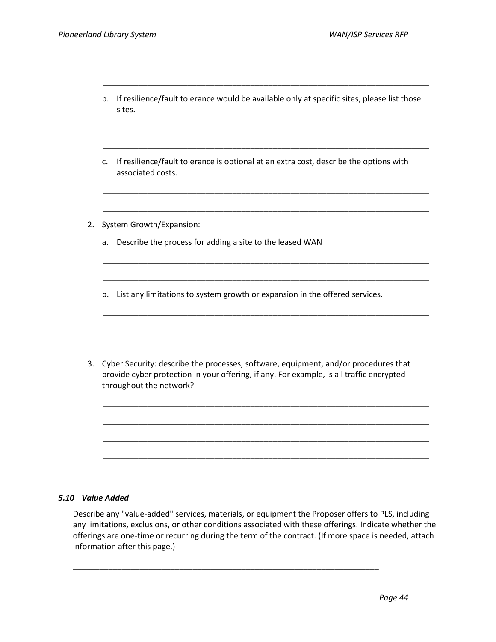| If resilience/fault tolerance would be available only at specific sites, please list those<br>sites.                                                                                                       |
|------------------------------------------------------------------------------------------------------------------------------------------------------------------------------------------------------------|
|                                                                                                                                                                                                            |
| If resilience/fault tolerance is optional at an extra cost, describe the options with<br>associated costs.                                                                                                 |
|                                                                                                                                                                                                            |
| System Growth/Expansion:                                                                                                                                                                                   |
| Describe the process for adding a site to the leased WAN                                                                                                                                                   |
|                                                                                                                                                                                                            |
| List any limitations to system growth or expansion in the offered services.                                                                                                                                |
|                                                                                                                                                                                                            |
| Cyber Security: describe the processes, software, equipment, and/or procedures that<br>provide cyber protection in your offering, if any. For example, is all traffic encrypted<br>throughout the network? |
|                                                                                                                                                                                                            |
|                                                                                                                                                                                                            |
|                                                                                                                                                                                                            |
|                                                                                                                                                                                                            |

\_\_\_\_\_\_\_\_\_\_\_\_\_\_\_\_\_\_\_\_\_\_\_\_\_\_\_\_\_\_\_\_\_\_\_\_\_\_\_\_\_\_\_\_\_\_\_\_\_\_\_\_\_\_\_\_\_\_\_\_\_\_\_\_\_\_\_\_\_\_\_\_\_

#### *5.10 Value Added*

Describe any "value-added" services, materials, or equipment the Proposer offers to PLS, including any limitations, exclusions, or other conditions associated with these offerings. Indicate whether the offerings are one-time or recurring during the term of the contract. (If more space is needed, attach information after this page.)

\_\_\_\_\_\_\_\_\_\_\_\_\_\_\_\_\_\_\_\_\_\_\_\_\_\_\_\_\_\_\_\_\_\_\_\_\_\_\_\_\_\_\_\_\_\_\_\_\_\_\_\_\_\_\_\_\_\_\_\_\_\_\_\_\_\_\_\_\_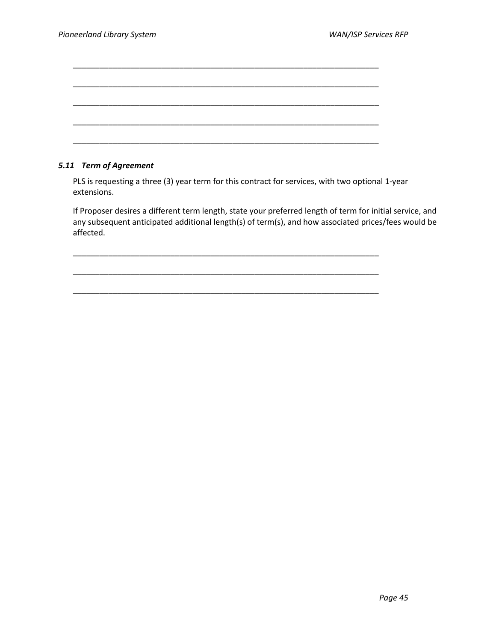\_\_\_\_\_\_\_\_\_\_\_\_\_\_\_\_\_\_\_\_\_\_\_\_\_\_\_\_\_\_\_\_\_\_\_\_\_\_\_\_\_\_\_\_\_\_\_\_\_\_\_\_\_\_\_\_\_\_\_\_\_\_\_\_\_\_\_\_\_

\_\_\_\_\_\_\_\_\_\_\_\_\_\_\_\_\_\_\_\_\_\_\_\_\_\_\_\_\_\_\_\_\_\_\_\_\_\_\_\_\_\_\_\_\_\_\_\_\_\_\_\_\_\_\_\_\_\_\_\_\_\_\_\_\_\_\_\_\_

\_\_\_\_\_\_\_\_\_\_\_\_\_\_\_\_\_\_\_\_\_\_\_\_\_\_\_\_\_\_\_\_\_\_\_\_\_\_\_\_\_\_\_\_\_\_\_\_\_\_\_\_\_\_\_\_\_\_\_\_\_\_\_\_\_\_\_\_\_

#### *5.11 Term of Agreement*

PLS is requesting a three (3) year term for this contract for services, with two optional 1-year extensions.

If Proposer desires a different term length, state your preferred length of term for initial service, and any subsequent anticipated additional length(s) of term(s), and how associated prices/fees would be affected.

\_\_\_\_\_\_\_\_\_\_\_\_\_\_\_\_\_\_\_\_\_\_\_\_\_\_\_\_\_\_\_\_\_\_\_\_\_\_\_\_\_\_\_\_\_\_\_\_\_\_\_\_\_\_\_\_\_\_\_\_\_\_\_\_\_\_\_\_\_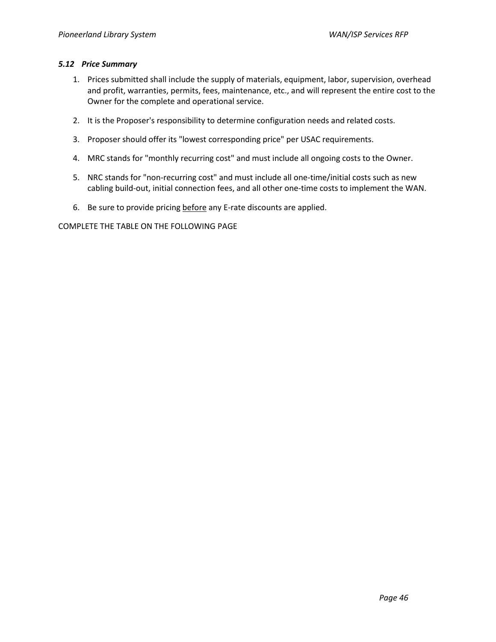#### *5.12 Price Summary*

- 1. Prices submitted shall include the supply of materials, equipment, labor, supervision, overhead and profit, warranties, permits, fees, maintenance, etc., and will represent the entire cost to the Owner for the complete and operational service.
- 2. It is the Proposer's responsibility to determine configuration needs and related costs.
- 3. Proposer should offer its "lowest corresponding price" per USAC requirements.
- 4. MRC stands for "monthly recurring cost" and must include all ongoing costs to the Owner.
- 5. NRC stands for "non-recurring cost" and must include all one-time/initial costs such as new cabling build-out, initial connection fees, and all other one-time costs to implement the WAN.
- 6. Be sure to provide pricing before any E-rate discounts are applied.

COMPLETE THE TABLE ON THE FOLLOWING PAGE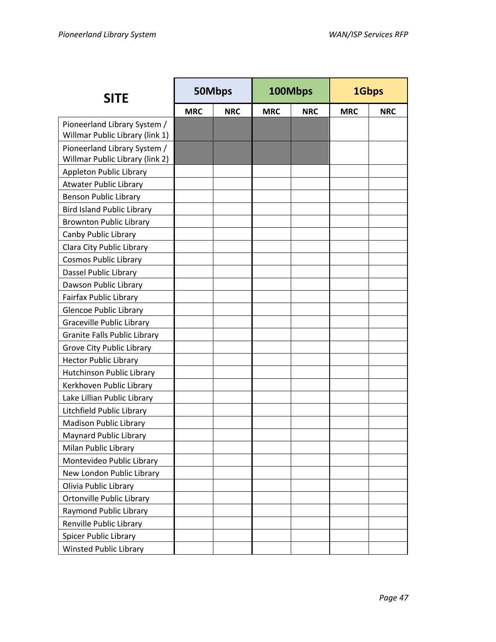| <b>SITE</b>                                                     | 50Mbps     |            | 100Mbps    |            | 1Gbps      |            |
|-----------------------------------------------------------------|------------|------------|------------|------------|------------|------------|
|                                                                 | <b>MRC</b> | <b>NRC</b> | <b>MRC</b> | <b>NRC</b> | <b>MRC</b> | <b>NRC</b> |
| Pioneerland Library System /<br>Willmar Public Library (link 1) |            |            |            |            |            |            |
| Pioneerland Library System /<br>Willmar Public Library (link 2) |            |            |            |            |            |            |
| Appleton Public Library                                         |            |            |            |            |            |            |
| <b>Atwater Public Library</b>                                   |            |            |            |            |            |            |
| Benson Public Library                                           |            |            |            |            |            |            |
| <b>Bird Island Public Library</b>                               |            |            |            |            |            |            |
| <b>Brownton Public Library</b>                                  |            |            |            |            |            |            |
| Canby Public Library                                            |            |            |            |            |            |            |
| Clara City Public Library                                       |            |            |            |            |            |            |
| <b>Cosmos Public Library</b>                                    |            |            |            |            |            |            |
| Dassel Public Library                                           |            |            |            |            |            |            |
| Dawson Public Library                                           |            |            |            |            |            |            |
| <b>Fairfax Public Library</b>                                   |            |            |            |            |            |            |
| <b>Glencoe Public Library</b>                                   |            |            |            |            |            |            |
| <b>Graceville Public Library</b>                                |            |            |            |            |            |            |
| <b>Granite Falls Public Library</b>                             |            |            |            |            |            |            |
| Grove City Public Library                                       |            |            |            |            |            |            |
| <b>Hector Public Library</b>                                    |            |            |            |            |            |            |
| Hutchinson Public Library                                       |            |            |            |            |            |            |
| Kerkhoven Public Library                                        |            |            |            |            |            |            |
| Lake Lillian Public Library                                     |            |            |            |            |            |            |
| Litchfield Public Library                                       |            |            |            |            |            |            |
| <b>Madison Public Library</b>                                   |            |            |            |            |            |            |
| <b>Maynard Public Library</b>                                   |            |            |            |            |            |            |
| Milan Public Library                                            |            |            |            |            |            |            |
| Montevideo Public Library                                       |            |            |            |            |            |            |
| New London Public Library                                       |            |            |            |            |            |            |
| Olivia Public Library                                           |            |            |            |            |            |            |
| Ortonville Public Library                                       |            |            |            |            |            |            |
| Raymond Public Library                                          |            |            |            |            |            |            |
| Renville Public Library                                         |            |            |            |            |            |            |
| Spicer Public Library                                           |            |            |            |            |            |            |
| <b>Winsted Public Library</b>                                   |            |            |            |            |            |            |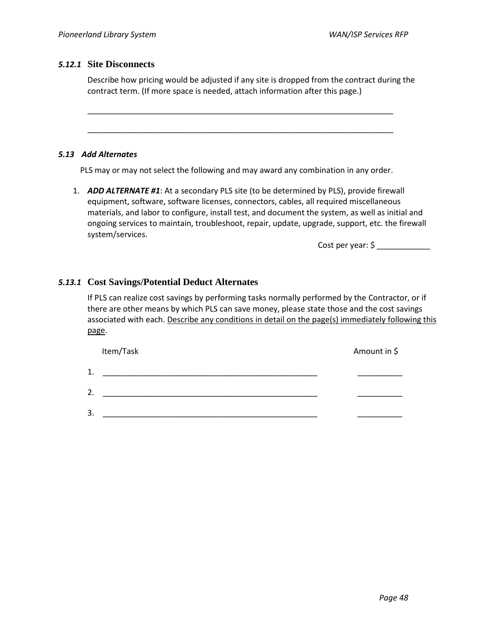## *5.12.1* **Site Disconnects**

Describe how pricing would be adjusted if any site is dropped from the contract during the contract term. (If more space is needed, attach information after this page.)

*5.13 Add Alternates*

PLS may or may not select the following and may award any combination in any order.

\_\_\_\_\_\_\_\_\_\_\_\_\_\_\_\_\_\_\_\_\_\_\_\_\_\_\_\_\_\_\_\_\_\_\_\_\_\_\_\_\_\_\_\_\_\_\_\_\_\_\_\_\_\_\_\_\_\_\_\_\_\_\_\_\_\_\_\_\_

\_\_\_\_\_\_\_\_\_\_\_\_\_\_\_\_\_\_\_\_\_\_\_\_\_\_\_\_\_\_\_\_\_\_\_\_\_\_\_\_\_\_\_\_\_\_\_\_\_\_\_\_\_\_\_\_\_\_\_\_\_\_\_\_\_\_\_\_\_

1. *ADD ALTERNATE #1*: At a secondary PLS site (to be determined by PLS), provide firewall equipment, software, software licenses, connectors, cables, all required miscellaneous materials, and labor to configure, install test, and document the system, as well as initial and ongoing services to maintain, troubleshoot, repair, update, upgrade, support, etc. the firewall system/services.

Cost per year: \$ \_\_\_\_\_\_\_\_\_\_\_\_

## *5.13.1* **Cost Savings/Potential Deduct Alternates**

If PLS can realize cost savings by performing tasks normally performed by the Contractor, or if there are other means by which PLS can save money, please state those and the cost savings associated with each. Describe any conditions in detail on the page(s) immediately following this page.

| Item/Task | Amount in \$ |
|-----------|--------------|
| 1.        |              |
| 2.        |              |
| 3.        |              |